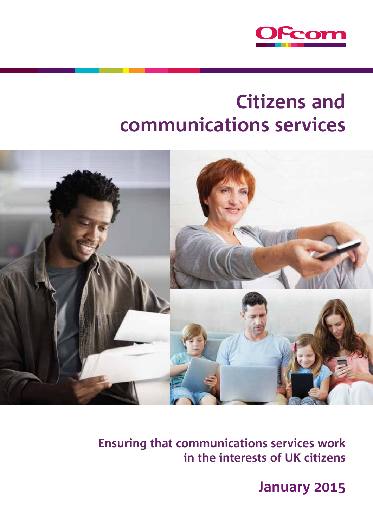

# **Citizens and communications services**



**Ensuring that communications services work in the interests of UK citizens**

**January**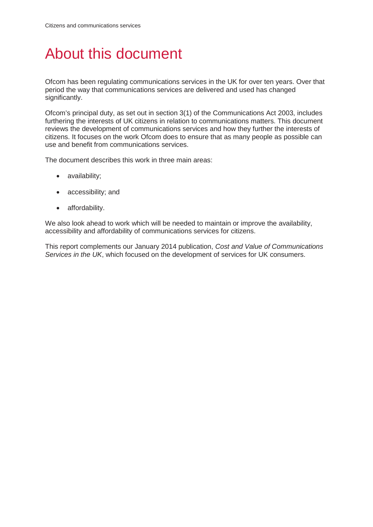# About this document

Ofcom has been regulating communications services in the UK for over ten years. Over that period the way that communications services are delivered and used has changed significantly.

Ofcom's principal duty, as set out in section 3(1) of the Communications Act 2003, includes furthering the interests of UK citizens in relation to communications matters. This document reviews the development of communications services and how they further the interests of citizens. It focuses on the work Ofcom does to ensure that as many people as possible can use and benefit from communications services.

The document describes this work in three main areas:

- availability;
- accessibility; and
- affordability.

We also look ahead to work which will be needed to maintain or improve the availability, accessibility and affordability of communications services for citizens.

This report complements our January 2014 publication, *Cost and Value of Communications Services in the UK*, which focused on the development of services for UK consumers.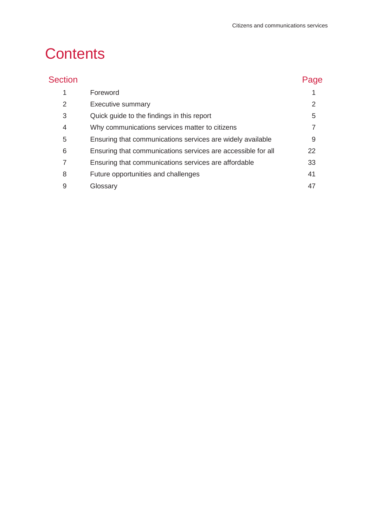# **Contents**

| <b>Section</b> |                                                              | Page |
|----------------|--------------------------------------------------------------|------|
| 1              | Foreword                                                     |      |
| 2              | Executive summary                                            | 2    |
| 3              | Quick guide to the findings in this report                   | 5    |
| 4              | Why communications services matter to citizens               | 7    |
| 5              | Ensuring that communications services are widely available   | 9    |
| 6              | Ensuring that communications services are accessible for all | 22   |
| 7              | Ensuring that communications services are affordable         | 33   |
| 8              | Future opportunities and challenges                          | 41   |
| 9              | Glossary                                                     | 47   |
|                |                                                              |      |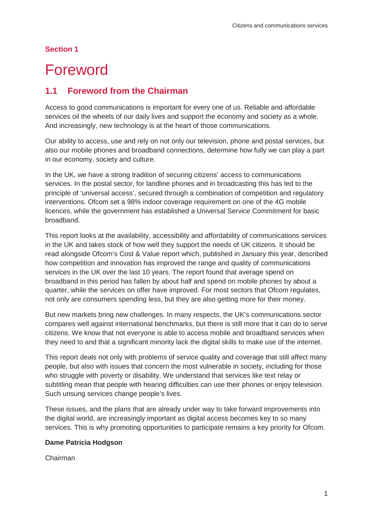### **Section 1**

# <span id="page-4-0"></span>**Foreword**

## **1.1 Foreword from the Chairman**

Access to good communications is important for every one of us. Reliable and affordable services oil the wheels of our daily lives and support the economy and society as a whole. And increasingly, new technology is at the heart of those communications.

Our ability to access, use and rely on not only our television, phone and postal services, but also our mobile phones and broadband connections, determine how fully we can play a part in our economy, society and culture.

In the UK, we have a strong tradition of securing citizens' access to communications services. In the postal sector, for landline phones and in broadcasting this has led to the principle of 'universal access', secured through a combination of competition and regulatory interventions. Ofcom set a 98% indoor coverage requirement on one of the 4G mobile licences, while the government has established a Universal Service Commitment for basic broadband.

This report looks at the availability, accessibility and affordability of communications services in the UK and takes stock of how well they support the needs of UK citizens. It should be read alongside Ofcom's Cost & Value report which, published in January this year, described how competition and innovation has improved the range and quality of communications services in the UK over the last 10 years. The report found that average spend on broadband in this period has fallen by about half and spend on mobile phones by about a quarter, while the services on offer have improved. For most sectors that Ofcom regulates, not only are consumers spending less, but they are also getting more for their money.

But new markets bring new challenges. In many respects, the UK's communications sector compares well against international benchmarks, but there is still more that it can do to serve citizens. We know that not everyone is able to access mobile and broadband services when they need to and that a significant minority lack the digital skills to make use of the internet.

This report deals not only with problems of service quality and coverage that still affect many people, but also with issues that concern the most vulnerable in society, including for those who struggle with poverty or disability. We understand that services like text relay or subtitling mean that people with hearing difficulties can use their phones or enjoy television. Such unsung services change people's lives.

These issues, and the plans that are already under way to take forward improvements into the digital world, are increasingly important as digital access becomes key to so many services. This is why promoting opportunities to participate remains a key priority for Ofcom.

### **Dame Patricia Hodgson**

Chairman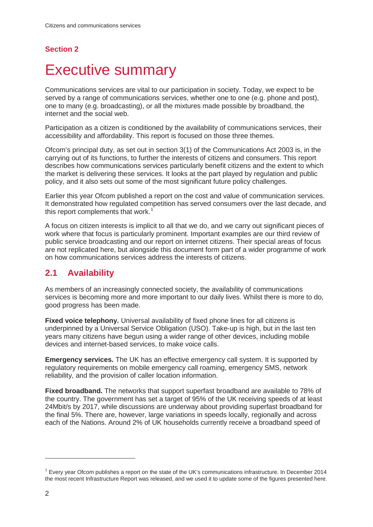## **Section 2**

# <span id="page-5-0"></span>**Executive summary**

Communications services are vital to our participation in society. Today, we expect to be served by a range of communications services, whether one to one (e.g. phone and post), one to many (e.g. broadcasting), or all the mixtures made possible by broadband, the internet and the social web.

Participation as a citizen is conditioned by the availability of communications services, their accessibility and affordability. This report is focused on those three themes.

Ofcom's principal duty, as set out in section 3(1) of the Communications Act 2003 is, in the carrying out of its functions, to further the interests of citizens and consumers. This report describes how communications services particularly benefit citizens and the extent to which the market is delivering these services. It looks at the part played by regulation and public policy, and it also sets out some of the most significant future policy challenges.

Earlier this year Ofcom published a report on the cost and value of communication services. It demonstrated how regulated competition has served consumers over the last decade, and this report complements that work.<sup>[1](#page-5-1)</sup>

A focus on citizen interests is implicit to all that we do, and we carry out significant pieces of work where that focus is particularly prominent. Important examples are our third review of public service broadcasting and our report on internet citizens. Their special areas of focus are not replicated here, but alongside this document form part of a wider programme of work on how communications services address the interests of citizens.

## **2.1 Availability**

As members of an increasingly connected society, the availability of communications services is becoming more and more important to our daily lives. Whilst there is more to do, good progress has been made.

**Fixed voice telephony.** Universal availability of fixed phone lines for all citizens is underpinned by a Universal Service Obligation (USO). Take-up is high, but in the last ten years many citizens have begun using a wider range of other devices, including mobile devices and internet-based services, to make voice calls.

**Emergency services.** The UK has an effective emergency call system. It is supported by regulatory requirements on mobile emergency call roaming, emergency SMS, network reliability, and the provision of caller location information.

**Fixed broadband.** The networks that support superfast broadband are available to 78% of the country. The government has set a target of 95% of the UK receiving speeds of at least 24Mbit/s by 2017, while discussions are underway about providing superfast broadband for the final 5%. There are, however, large variations in speeds locally, regionally and across each of the Nations. Around 2% of UK households currently receive a broadband speed of

<span id="page-5-1"></span> $1$  Every year Ofcom publishes a report on the state of the UK's communications infrastructure. In December 2014 the most recent Infrastructure Report was released, and we used it to update some of the figures presented here.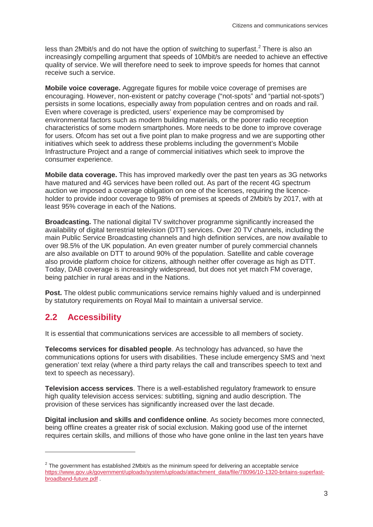less than [2](#page-6-0)Mbit/s and do not have the option of switching to superfast.<sup>2</sup> There is also an increasingly compelling argument that speeds of 10Mbit/s are needed to achieve an effective quality of service. We will therefore need to seek to improve speeds for homes that cannot receive such a service.

**Mobile voice coverage.** Aggregate figures for mobile voice coverage of premises are encouraging. However, non-existent or patchy coverage ("not-spots" and "partial not-spots") persists in some locations, especially away from population centres and on roads and rail. Even where coverage is predicted, users' experience may be compromised by environmental factors such as modern building materials, or the poorer radio reception characteristics of some modern smartphones. More needs to be done to improve coverage for users. Ofcom has set out a five point plan to make progress and we are supporting other initiatives which seek to address these problems including the government's Mobile Infrastructure Project and a range of commercial initiatives which seek to improve the consumer experience.

**Mobile data coverage.** This has improved markedly over the past ten years as 3G networks have matured and 4G services have been rolled out. As part of the recent 4G spectrum auction we imposed a coverage obligation on one of the licenses, requiring the licenceholder to provide indoor coverage to 98% of premises at speeds of 2Mbit/s by 2017, with at least 95% coverage in each of the Nations.

**Broadcasting.** The national digital TV switchover programme significantly increased the availability of digital terrestrial television (DTT) services. Over 20 TV channels, including the main Public Service Broadcasting channels and high definition services, are now available to over 98.5% of the UK population. An even greater number of purely commercial channels are also available on DTT to around 90% of the population. Satellite and cable coverage also provide platform choice for citizens, although neither offer coverage as high as DTT. Today, DAB coverage is increasingly widespread, but does not yet match FM coverage, being patchier in rural areas and in the Nations.

**Post.** The oldest public communications service remains highly valued and is underpinned by statutory requirements on Royal Mail to maintain a universal service.

## **2.2 Accessibility**

 $\overline{a}$ 

It is essential that communications services are accessible to all members of society.

**Telecoms services for disabled people**. As technology has advanced, so have the communications options for users with disabilities. These include emergency SMS and 'next generation' text relay (where a third party relays the call and transcribes speech to text and text to speech as necessary).

**Television access services**. There is a well-established regulatory framework to ensure high quality television access services: subtitling, signing and audio description. The provision of these services has significantly increased over the last decade.

**Digital inclusion and skills and confidence online**. As society becomes more connected, being offline creates a greater risk of social exclusion. Making good use of the internet requires certain skills, and millions of those who have gone online in the last ten years have

<span id="page-6-0"></span> $2$  The government has established 2Mbit/s as the minimum speed for delivering an acceptable service [https://www.gov.uk/government/uploads/system/uploads/attachment\\_data/file/78096/10-1320-britains-superfast](https://www.gov.uk/government/uploads/system/uploads/attachment_data/file/78096/10-1320-britains-superfast-broadband-future.pdf)[broadband-future.pdf](https://www.gov.uk/government/uploads/system/uploads/attachment_data/file/78096/10-1320-britains-superfast-broadband-future.pdf) .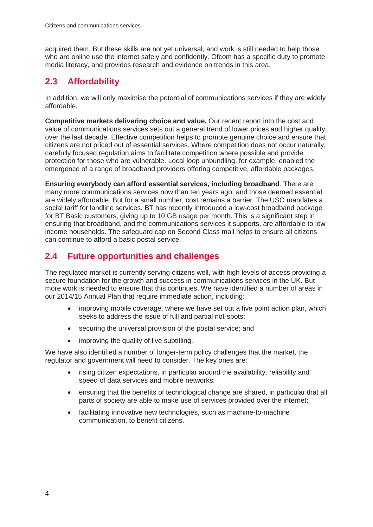acquired them. But these skills are not yet universal, and work is still needed to help those who are online use the internet safely and confidently. Ofcom has a specific duty to promote media literacy, and provides research and evidence on trends in this area.

## **2.3 Affordability**

In addition, we will only maximise the potential of communications services if they are widely affordable.

**Competitive markets delivering choice and value.** Our recent report into the cost and value of communications services sets out a general trend of lower prices and higher quality over the last decade. Effective competition helps to promote genuine choice and ensure that citizens are not priced out of essential services. Where competition does not occur naturally, carefully focused regulation aims to facilitate competition where possible and provide protection for those who are vulnerable. Local loop unbundling, for example, enabled the emergence of a range of broadband providers offering competitive, affordable packages.

**Ensuring everybody can afford essential services, including broadband**. There are many more communications services now than ten years ago, and those deemed essential are widely affordable. But for a small number, cost remains a barrier. The USO mandates a social tariff for landline services. BT has recently introduced a low-cost broadband package for BT Basic customers, giving up to 10 GB usage per month. This is a significant step in ensuring that broadband, and the communications services it supports, are affordable to low income households. The safeguard cap on Second Class mail helps to ensure all citizens can continue to afford a basic postal service.

## **2.4 Future opportunities and challenges**

The regulated market is currently serving citizens well, with high levels of access providing a secure foundation for the growth and success in communications services in the UK. But more work is needed to ensure that this continues. We have identified a number of areas in our 2014/15 Annual Plan that require immediate action, including:

- improving mobile coverage, where we have set out a five point action plan, which seeks to address the issue of full and partial not-spots;
- securing the universal provision of the postal service; and
- improving the quality of live subtitling.

We have also identified a number of longer-term policy challenges that the market, the regulator and government will need to consider. The key ones are:

- rising citizen expectations, in particular around the availability, reliability and speed of data services and mobile networks;
- ensuring that the benefits of technological change are shared, in particular that all parts of society are able to make use of services provided over the internet;
- facilitating innovative new technologies, such as machine-to-machine communication, to benefit citizens.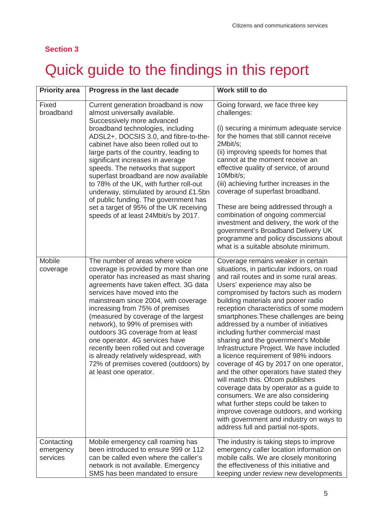## **Section 3**

# <span id="page-8-0"></span>Quick guide to the findings in this report

| <b>Priority area</b>                | Progress in the last decade                                                                                                                                                                                                                                                                                                                                                                                                                                                                                                                                                                          | Work still to do                                                                                                                                                                                                                                                                                                                                                                                                                                                                                                                                                                                                                                                                                                                                                                                                                                                                                                             |
|-------------------------------------|------------------------------------------------------------------------------------------------------------------------------------------------------------------------------------------------------------------------------------------------------------------------------------------------------------------------------------------------------------------------------------------------------------------------------------------------------------------------------------------------------------------------------------------------------------------------------------------------------|------------------------------------------------------------------------------------------------------------------------------------------------------------------------------------------------------------------------------------------------------------------------------------------------------------------------------------------------------------------------------------------------------------------------------------------------------------------------------------------------------------------------------------------------------------------------------------------------------------------------------------------------------------------------------------------------------------------------------------------------------------------------------------------------------------------------------------------------------------------------------------------------------------------------------|
| Fixed<br>broadband                  | Current generation broadband is now<br>almost universally available.<br>Successively more advanced<br>broadband technologies, including<br>ADSL2+, DOCSIS 3.0, and fibre-to-the-<br>cabinet have also been rolled out to<br>large parts of the country, leading to<br>significant increases in average<br>speeds. The networks that support<br>superfast broadband are now available<br>to 78% of the UK, with further roll-out<br>underway, stimulated by around £1.5bn<br>of public funding. The government has<br>set a target of 95% of the UK receiving<br>speeds of at least 24Mbit/s by 2017. | Going forward, we face three key<br>challenges:<br>(i) securing a minimum adequate service<br>for the homes that still cannot receive<br>2Mbit/s;<br>(ii) improving speeds for homes that<br>cannot at the moment receive an<br>effective quality of service, of around<br>10Mbit/s;<br>(iii) achieving further increases in the<br>coverage of superfast broadband.<br>These are being addressed through a<br>combination of ongoing commercial<br>investment and delivery, the work of the<br>government's Broadband Delivery UK<br>programme and policy discussions about<br>what is a suitable absolute minimum.                                                                                                                                                                                                                                                                                                         |
| Mobile<br>coverage                  | The number of areas where voice<br>coverage is provided by more than one<br>operator has increased as mast sharing<br>agreements have taken effect. 3G data<br>services have moved into the<br>mainstream since 2004, with coverage<br>increasing from 75% of premises<br>(measured by coverage of the largest<br>network), to 99% of premises with<br>outdoors 3G coverage from at least<br>one operator. 4G services have<br>recently been rolled out and coverage<br>is already relatively widespread, with<br>72% of premises covered (outdoors) by<br>at least one operator.                    | Coverage remains weaker in certain<br>situations, in particular indoors, on road<br>and rail routes and in some rural areas.<br>Users' experience may also be<br>compromised by factors such as modern<br>building materials and poorer radio<br>reception characteristics of some modern<br>smartphones. These challenges are being<br>addressed by a number of initiatives<br>including further commercial mast<br>sharing and the government's Mobile<br>Infrastructure Project. We have included<br>a licence requirement of 98% indoors<br>coverage of 4G by 2017 on one operator,<br>and the other operators have stated they<br>will match this. Ofcom publishes<br>coverage data by operator as a guide to<br>consumers. We are also considering<br>what further steps could be taken to<br>improve coverage outdoors, and working<br>with government and industry on ways to<br>address full and partial not-spots. |
| Contacting<br>emergency<br>services | Mobile emergency call roaming has<br>been introduced to ensure 999 or 112<br>can be called even where the caller's<br>network is not available. Emergency<br>SMS has been mandated to ensure                                                                                                                                                                                                                                                                                                                                                                                                         | The industry is taking steps to improve<br>emergency caller location information on<br>mobile calls. We are closely monitoring<br>the effectiveness of this initiative and<br>keeping under review new developments                                                                                                                                                                                                                                                                                                                                                                                                                                                                                                                                                                                                                                                                                                          |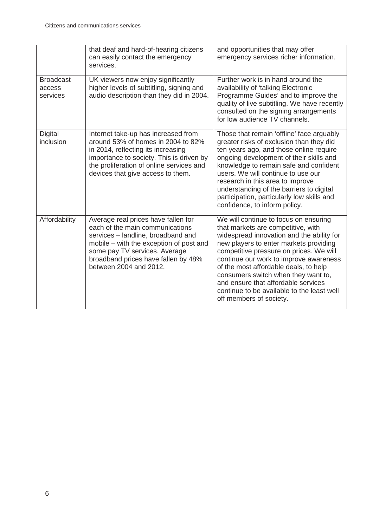|                                        | that deaf and hard-of-hearing citizens<br>can easily contact the emergency<br>services.                                                                                                                                                                   | and opportunities that may offer<br>emergency services richer information.                                                                                                                                                                                                                                                                                                                                                                              |
|----------------------------------------|-----------------------------------------------------------------------------------------------------------------------------------------------------------------------------------------------------------------------------------------------------------|---------------------------------------------------------------------------------------------------------------------------------------------------------------------------------------------------------------------------------------------------------------------------------------------------------------------------------------------------------------------------------------------------------------------------------------------------------|
| <b>Broadcast</b><br>access<br>services | UK viewers now enjoy significantly<br>higher levels of subtitling, signing and<br>audio description than they did in 2004.                                                                                                                                | Further work is in hand around the<br>availability of 'talking Electronic<br>Programme Guides' and to improve the<br>quality of live subtitling. We have recently<br>consulted on the signing arrangements<br>for low audience TV channels.                                                                                                                                                                                                             |
| <b>Digital</b><br>inclusion            | Internet take-up has increased from<br>around 53% of homes in 2004 to 82%<br>in 2014, reflecting its increasing<br>importance to society. This is driven by<br>the proliferation of online services and<br>devices that give access to them.              | Those that remain 'offline' face arguably<br>greater risks of exclusion than they did<br>ten years ago, and those online require<br>ongoing development of their skills and<br>knowledge to remain safe and confident<br>users. We will continue to use our<br>research in this area to improve<br>understanding of the barriers to digital<br>participation, particularly low skills and<br>confidence, to inform policy.                              |
| Affordability                          | Average real prices have fallen for<br>each of the main communications<br>services - landline, broadband and<br>mobile – with the exception of post and<br>some pay TV services. Average<br>broadband prices have fallen by 48%<br>between 2004 and 2012. | We will continue to focus on ensuring<br>that markets are competitive, with<br>widespread innovation and the ability for<br>new players to enter markets providing<br>competitive pressure on prices. We will<br>continue our work to improve awareness<br>of the most affordable deals, to help<br>consumers switch when they want to,<br>and ensure that affordable services<br>continue to be available to the least well<br>off members of society. |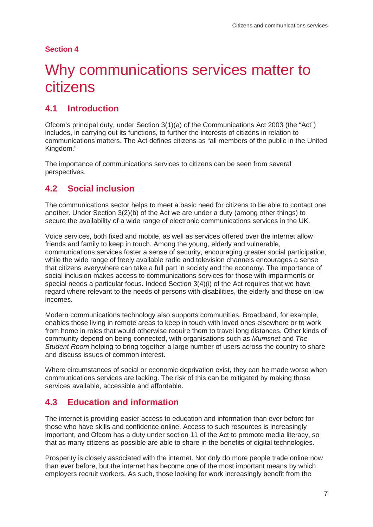### **Section 4**

# <span id="page-10-0"></span>Why communications services matter to citizens

## **4.1 Introduction**

Ofcom's principal duty, under Section 3(1)(a) of the Communications Act 2003 (the "Act") includes, in carrying out its functions, to further the interests of citizens in relation to communications matters. The Act defines citizens as "all members of the public in the United Kingdom."

The importance of communications services to citizens can be seen from several perspectives.

## **4.2 Social inclusion**

The communications sector helps to meet a basic need for citizens to be able to contact one another. Under Section 3(2)(b) of the Act we are under a duty (among other things) to secure the availability of a wide range of electronic communications services in the UK.

Voice services, both fixed and mobile, as well as services offered over the internet allow friends and family to keep in touch. Among the young, elderly and vulnerable, communications services foster a sense of security, encouraging greater social participation, while the wide range of freely available radio and television channels encourages a sense that citizens everywhere can take a full part in society and the economy. The importance of social inclusion makes access to communications services for those with impairments or special needs a particular focus. Indeed Section 3(4)(i) of the Act requires that we have regard where relevant to the needs of persons with disabilities, the elderly and those on low incomes.

Modern communications technology also supports communities. Broadband, for example, enables those living in remote areas to keep in touch with loved ones elsewhere or to work from home in roles that would otherwise require them to travel long distances. Other kinds of community depend on being connected, with organisations such as *Mumsnet* and *The Student Room* helping to bring together a large number of users across the country to share and discuss issues of common interest.

Where circumstances of social or economic deprivation exist, they can be made worse when communications services are lacking. The risk of this can be mitigated by making those services available, accessible and affordable.

## **4.3 Education and information**

The internet is providing easier access to education and information than ever before for those who have skills and confidence online. Access to such resources is increasingly important, and Ofcom has a duty under section 11 of the Act to promote media literacy, so that as many citizens as possible are able to share in the benefits of digital technologies.

Prosperity is closely associated with the internet. Not only do more people trade online now than ever before, but the internet has become one of the most important means by which employers recruit workers. As such, those looking for work increasingly benefit from the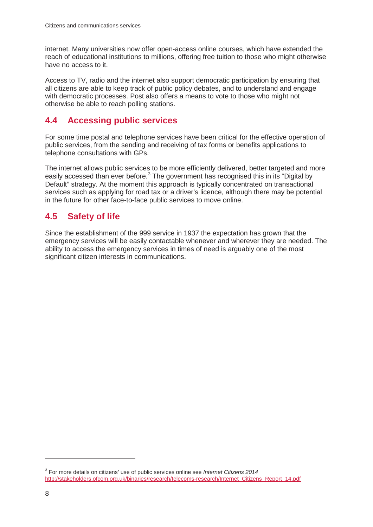internet. Many universities now offer open-access online courses, which have extended the reach of educational institutions to millions, offering free tuition to those who might otherwise have no access to it.

Access to TV, radio and the internet also support democratic participation by ensuring that all citizens are able to keep track of public policy debates, and to understand and engage with democratic processes. Post also offers a means to vote to those who might not otherwise be able to reach polling stations.

## **4.4 Accessing public services**

For some time postal and telephone services have been critical for the effective operation of public services, from the sending and receiving of tax forms or benefits applications to telephone consultations with GPs.

The internet allows public services to be more efficiently delivered, better targeted and more easily accessed than ever before.<sup>[3](#page-11-0)</sup> The government has recognised this in its "Digital by" Default" strategy. At the moment this approach is typically concentrated on transactional services such as applying for road tax or a driver's licence, although there may be potential in the future for other face-to-face public services to move online.

## **4.5 Safety of life**

Since the establishment of the 999 service in 1937 the expectation has grown that the emergency services will be easily contactable whenever and wherever they are needed. The ability to access the emergency services in times of need is arguably one of the most significant citizen interests in communications.

<span id="page-11-0"></span><sup>3</sup> For more details on citizens' use of public services online see *Internet Citizens 2014* [http://stakeholders.ofcom.org.uk/binaries/research/telecoms-research/Internet\\_Citizens\\_Report\\_14.pdf](http://stakeholders.ofcom.org.uk/binaries/research/telecoms-research/Internet_Citizens_Report_14.pdf)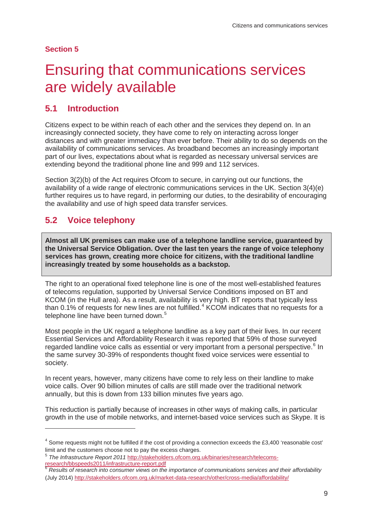### **Section 5**

# <span id="page-12-0"></span>5 Ensuring that communications services are widely available

## **5.1 Introduction**

Citizens expect to be within reach of each other and the services they depend on. In an increasingly connected society, they have come to rely on interacting across longer distances and with greater immediacy than ever before. Their ability to do so depends on the availability of communications services. As broadband becomes an increasingly important part of our lives, expectations about what is regarded as necessary universal services are extending beyond the traditional phone line and 999 and 112 services.

Section 3(2)(b) of the Act requires Ofcom to secure, in carrying out our functions, the availability of a wide range of electronic communications services in the UK. Section 3(4)(e) further requires us to have regard, in performing our duties, to the desirability of encouraging the availability and use of high speed data transfer services.

## **5.2 Voice telephony**

-

**Almost all UK premises can make use of a telephone landline service, guaranteed by the Universal Service Obligation. Over the last ten years the range of voice telephony services has grown, creating more choice for citizens, with the traditional landline increasingly treated by some households as a backstop.** 

The right to an operational fixed telephone line is one of the most well-established features of telecoms regulation, supported by Universal Service Conditions imposed on BT and KCOM (in the Hull area). As a result, availability is very high. BT reports that typically less than 0.1% of requests for new lines are not fulfilled.<sup>[4](#page-12-1)</sup> KCOM indicates that no requests for a telephone line have been turned down.<sup>[5](#page-12-2)</sup>

Most people in the UK regard a telephone landline as a key part of their lives. In our recent Essential Services and Affordability Research it was reported that 59% of those surveyed regarded landline voice calls as essential or very important from a personal perspective.<sup>[6](#page-12-3)</sup> In the same survey 30-39% of respondents thought fixed voice services were essential to society.

In recent years, however, many citizens have come to rely less on their landline to make voice calls. Over 90 billion minutes of calls are still made over the traditional network annually, but this is down from 133 billion minutes five years ago.

This reduction is partially because of increases in other ways of making calls, in particular growth in the use of mobile networks, and internet-based voice services such as Skype. It is

<span id="page-12-1"></span><sup>4</sup> Some requests might not be fulfilled if the cost of providing a connection exceeds the £3,400 'reasonable cost' limit and the customers choose not to pay the excess charges.

<span id="page-12-2"></span><sup>5</sup> *The Infrastructure Report 2011* [http://stakeholders.ofcom.org.uk/binaries/research/telecoms](http://stakeholders.ofcom.org.uk/binaries/research/telecoms-research/bbspeeds2011/infrastructure-report.pdf)[research/bbspeeds2011/infrastructure-report.pdf 6](http://stakeholders.ofcom.org.uk/binaries/research/telecoms-research/bbspeeds2011/infrastructure-report.pdf) *Results of research into consumer views on the importance of communications services and their affordability*

<span id="page-12-3"></span><sup>(</sup>July 2014)<http://stakeholders.ofcom.org.uk/market-data-research/other/cross-media/affordability/>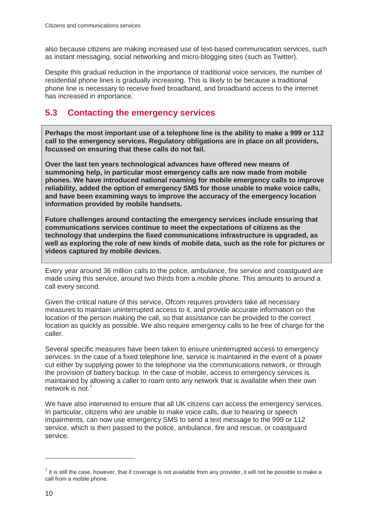also because citizens are making increased use of text-based communication services, such as instant messaging, social networking and micro-blogging sites (such as Twitter).

Despite this gradual reduction in the importance of traditional voice services, the number of residential phone lines is gradually increasing. This is likely to be because a traditional phone line is necessary to receive fixed broadband, and broadband access to the internet has increased in importance.

## **5.3 Contacting the emergency services**

**Perhaps the most important use of a telephone line is the ability to make a 999 or 112 call to the emergency services. Regulatory obligations are in place on all providers, focussed on ensuring that these calls do not fail.** 

**Over the last ten years technological advances have offered new means of summoning help, in particular most emergency calls are now made from mobile phones. We have introduced national roaming for mobile emergency calls to improve reliability, added the option of emergency SMS for those unable to make voice calls, and have been examining ways to improve the accuracy of the emergency location information provided by mobile handsets.** 

**Future challenges around contacting the emergency services include ensuring that communications services continue to meet the expectations of citizens as the technology that underpins the fixed communications infrastructure is upgraded, as well as exploring the role of new kinds of mobile data, such as the role for pictures or videos captured by mobile devices.** 

Every year around 36 million calls to the police, ambulance, fire service and coastguard are made using this service, around two thirds from a mobile phone. This amounts to around a call every second.

Given the critical nature of this service, Ofcom requires providers take all necessary measures to maintain uninterrupted access to it, and provide accurate information on the location of the person making the call, so that assistance can be provided to the correct location as quickly as possible. We also require emergency calls to be free of charge for the caller.

Several specific measures have been taken to ensure uninterrupted access to emergency services. In the case of a fixed telephone line, service is maintained in the event of a power cut either by supplying power to the telephone via the communications network, or through the provision of battery backup. In the case of mobile, access to emergency services is maintained by allowing a caller to roam onto any network that is available when their own network is not.<sup>[7](#page-13-0)</sup>

We have also intervened to ensure that all UK citizens can access the emergency services. In particular, citizens who are unable to make voice calls, due to hearing or speech impairments, can now use emergency SMS to send a text message to the 999 or 112 service, which is then passed to the police, ambulance, fire and rescue, or coastguard service.

<span id="page-13-0"></span> $<sup>7</sup>$  It is still the case, however, that if coverage is not available from any provider, it will not be possible to make a</sup> call from a mobile phone.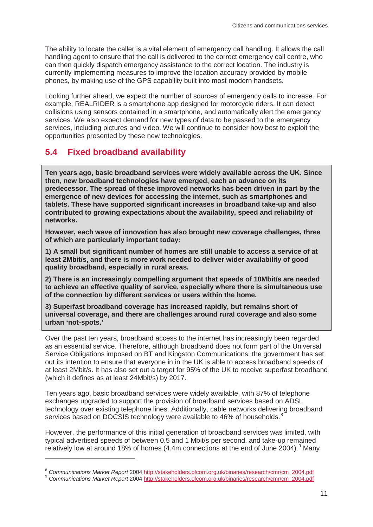The ability to locate the caller is a vital element of emergency call handling. It allows the call handling agent to ensure that the call is delivered to the correct emergency call centre, who can then quickly dispatch emergency assistance to the correct location. The industry is currently implementing measures to improve the location accuracy provided by mobile phones, by making use of the GPS capability built into most modern handsets.

Looking further ahead, we expect the number of sources of emergency calls to increase. For example, REALRIDER is a smartphone app designed for motorcycle riders. It can detect collisions using sensors contained in a smartphone, and automatically alert the emergency services. We also expect demand for new types of data to be passed to the emergency services, including pictures and video. We will continue to consider how best to exploit the opportunities presented by these new technologies.

## **5.4 Fixed broadband availability**

-

**Ten years ago, basic broadband services were widely available across the UK. Since then, new broadband technologies have emerged, each an advance on its predecessor. The spread of these improved networks has been driven in part by the emergence of new devices for accessing the internet, such as smartphones and tablets. These have supported significant increases in broadband take-up and also contributed to growing expectations about the availability, speed and reliability of networks.**

**However, each wave of innovation has also brought new coverage challenges, three of which are particularly important today:** 

**1) A small but significant number of homes are still unable to access a service of at least 2Mbit/s, and there is more work needed to deliver wider availability of good quality broadband, especially in rural areas.**

**2) There is an increasingly compelling argument that speeds of 10Mbit/s are needed to achieve an effective quality of service, especially where there is simultaneous use of the connection by different services or users within the home.** 

**3) Superfast broadband coverage has increased rapidly, but remains short of universal coverage, and there are challenges around rural coverage and also some urban 'not-spots.'** 

Over the past ten years, broadband access to the internet has increasingly been regarded as an essential service. Therefore, although broadband does not form part of the Universal Service Obligations imposed on BT and Kingston Communications, the government has set out its intention to ensure that everyone in in the UK is able to access broadband speeds of at least 2Mbit/s. It has also set out a target for 95% of the UK to receive superfast broadband (which it defines as at least 24Mbit/s) by 2017.

Ten years ago, basic broadband services were widely available, with 87% of telephone exchanges upgraded to support the provision of broadband services based on ADSL technology over existing telephone lines. Additionally, cable networks delivering broadband services based on DOCSIS technology were available to 46% of households.<sup>[8](#page-14-0)</sup>

However, the performance of this initial generation of broadband services was limited, with typical advertised speeds of between 0.5 and 1 Mbit/s per second, and take-up remained relatively low at around 18% of homes  $(4.4m$  connections at the end of June 2004).<sup>[9](#page-14-1)</sup> Many

<span id="page-14-1"></span><span id="page-14-0"></span><sup>8</sup> *Communications Market Report* 200[4 http://stakeholders.ofcom.org.uk/binaries/research/cmr/cm\\_2004.pdf](http://stakeholders.ofcom.org.uk/binaries/research/cmr/cm_2004.pdf) 9 *Communications Market Report* 200[4 http://stakeholders.ofcom.org.uk/binaries/research/cmr/cm\\_2004.pdf](http://stakeholders.ofcom.org.uk/binaries/research/cmr/cm_2004.pdf)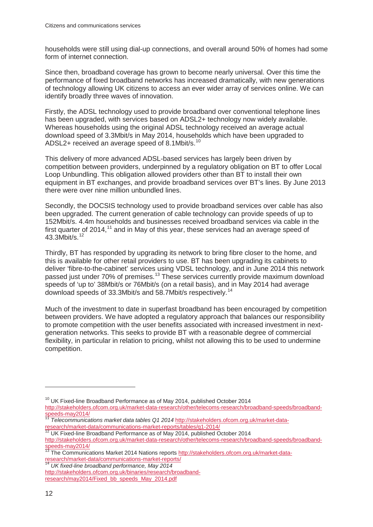households were still using dial-up connections, and overall around 50% of homes had some form of internet connection.

Since then, broadband coverage has grown to become nearly universal. Over this time the performance of fixed broadband networks has increased dramatically, with new generations of technology allowing UK citizens to access an ever wider array of services online. We can identify broadly three waves of innovation.

Firstly, the ADSL technology used to provide broadband over conventional telephone lines has been upgraded, with services based on ADSL2+ technology now widely available. Whereas households using the original ADSL technology received an average actual download speed of 3.3Mbit/s in May 2014, households which have been upgraded to ADSL2+ received an average speed of 8.1Mbit/s.<sup>[10](#page-15-0)</sup>

This delivery of more advanced ADSL-based services has largely been driven by competition between providers, underpinned by a regulatory obligation on BT to offer Local Loop Unbundling. This obligation allowed providers other than BT to install their own equipment in BT exchanges, and provide broadband services over BT's lines. By June 2013 there were over nine million unbundled lines.

Secondly, the DOCSIS technology used to provide broadband services over cable has also been upgraded. The current generation of cable technology can provide speeds of up to 152Mbit/s. 4.4m households and businesses received broadband services via cable in the first quarter of 2014,<sup>[11](#page-15-1)</sup> and in May of this year, these services had an average speed of 43.3Mbit/s.[12](#page-15-2)

Thirdly, BT has responded by upgrading its network to bring fibre closer to the home, and this is available for other retail providers to use. BT has been upgrading its cabinets to deliver 'fibre-to-the-cabinet' services using VDSL technology, and in June 2014 this network passed just under 70% of premises.<sup>[13](#page-15-3)</sup> These services currently provide maximum download speeds of 'up to' 38Mbit/s or 76Mbit/s (on a retail basis), and in May 2014 had average download speeds of 33.3Mbit/s and 58.7Mbit/s respectively.<sup>[14](#page-15-4)</sup>

Much of the investment to date in superfast broadband has been encouraged by competition between providers. We have adopted a regulatory approach that balances our responsibility to promote competition with the user benefits associated with increased investment in nextgeneration networks. This seeks to provide BT with a reasonable degree of commercial flexibility, in particular in relation to pricing, whilst not allowing this to be used to undermine competition.

<span id="page-15-4"></span>[http://stakeholders.ofcom.org.uk/binaries/research/broadband](http://stakeholders.ofcom.org.uk/binaries/research/broadband-research/may2014/Fixed_bb_speeds_May_2014.pdf)[research/may2014/Fixed\\_bb\\_speeds\\_May\\_2014.pdf](http://stakeholders.ofcom.org.uk/binaries/research/broadband-research/may2014/Fixed_bb_speeds_May_2014.pdf) 

 $10$  UK Fixed-line Broadband Performance as of May 2014, published October 2014

<span id="page-15-0"></span>http://stakeholders.ofcom.org.uk/market-data-research/other/telecoms-research/broadband-speeds/broadband-<br>speeds-may2014/<br>1. Telecommunications would be a state of the contract of the contract of the contract of the contra

<span id="page-15-1"></span>Telecommunications market data tables Q1 2014 [http://stakeholders.ofcom.org.uk/market-data](http://stakeholders.ofcom.org.uk/market-data-research/market-data/communications-market-reports/tables/q1-2014/)[research/market-data/communications-market-reports/tables/q1-2014/ 12](http://stakeholders.ofcom.org.uk/market-data-research/market-data/communications-market-reports/tables/q1-2014/) UK Fixed-line Broadband Performance as of May 2014, published October 2014

<span id="page-15-2"></span>[http://stakeholders.ofcom.org.uk/market-data-research/other/telecoms-research/broadband-speeds/broadband](http://stakeholders.ofcom.org.uk/market-data-research/other/telecoms-research/broadband-speeds/broadband-speeds-may2014/)speeds-may2014/<br>
<sup>13</sup> The Communications Market 2014 Nations reports [http://stakeholders.ofcom.org.uk/market-data-](http://stakeholders.ofcom.org.uk/market-data-research/market-data/communications-market-reports/)

<span id="page-15-3"></span>[research/market-data/communications-market-reports/ 14](http://stakeholders.ofcom.org.uk/market-data-research/market-data/communications-market-reports/) *UK fixed-line broadband performance, May 2014*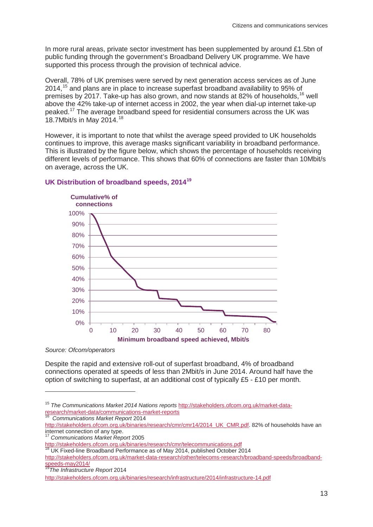In more rural areas, private sector investment has been supplemented by around £1.5bn of public funding through the government's Broadband Delivery UK programme. We have supported this process through the provision of technical advice.

Overall, 78% of UK premises were served by next generation access services as of June 2014,[15](#page-16-0) and plans are in place to increase superfast broadband availability to 95% of premises by 2017. Take-up has also grown, and now stands at 82% of households, <sup>[16](#page-16-1)</sup> well above the 42% take-up of internet access in 2002, the year when dial-up internet take-up peaked.[17](#page-16-2) The average broadband speed for residential consumers across the UK was [18](#page-16-3).7Mbit/s in May 2014.<sup>18</sup>

However, it is important to note that whilst the average speed provided to UK households continues to improve, this average masks significant variability in broadband performance. This is illustrated by the figure below, which shows the percentage of households receiving different levels of performance. This shows that 60% of connections are faster than 10Mbit/s on average, across the UK.



#### **UK Distribution of broadband speeds, 2014[19](#page-16-4)**

*Source: Ofcom/operators*

 $\overline{a}$ 

Despite the rapid and extensive roll-out of superfast broadband, 4% of broadband connections operated at speeds of less than 2Mbit/s in June 2014. Around half have the option of switching to superfast, at an additional cost of typically £5 - £10 per month.

<span id="page-16-0"></span><sup>15</sup> *The Communications Market 2014 Nations reports* [http://stakeholders.ofcom.org.uk/market-data](http://stakeholders.ofcom.org.uk/market-data-research/market-data/communications-market-reports)[research/market-data/communications-market-reports 16](http://stakeholders.ofcom.org.uk/market-data-research/market-data/communications-market-reports) *Communications Market Report* <sup>2014</sup>

<span id="page-16-1"></span>[http://stakeholders.ofcom.org.uk/binaries/research/cmr/cmr14/2014\\_UK\\_CMR.pdf.](http://stakeholders.ofcom.org.uk/binaries/research/cmr/cmr14/2014_UK_CMR.pdf) 82% of households have an internet connection of any type.

<sup>17</sup> *Communications Market Report* 2005

<span id="page-16-2"></span>[http://stakeholders.ofcom.org.uk/binaries/research/cmr/telecommunications.pdf 18](http://stakeholders.ofcom.org.uk/binaries/research/cmr/telecommunications.pdf) UK Fixed-line Broadband Performance as of May 2014, published October 2014

<span id="page-16-3"></span>

[http://stakeholders.ofcom.org.uk/market-data-research/other/telecoms-research/broadband-speeds/broadband](http://stakeholders.ofcom.org.uk/market-data-research/other/telecoms-research/broadband-speeds/broadband-speeds-may2014/)[speeds-may2014/ 19](http://stakeholders.ofcom.org.uk/market-data-research/other/telecoms-research/broadband-speeds/broadband-speeds-may2014/)*The Infrastructure Report* <sup>2014</sup>

<span id="page-16-4"></span>

<http://stakeholders.ofcom.org.uk/binaries/research/infrastructure/2014/infrastructure-14.pdf>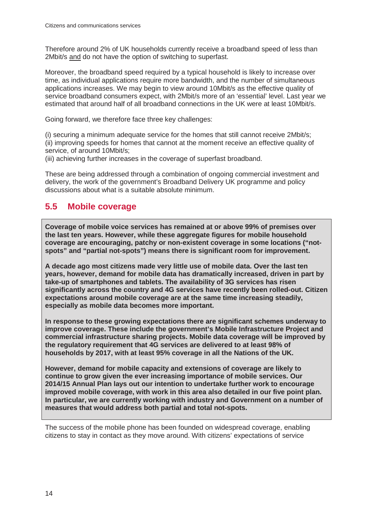Therefore around 2% of UK households currently receive a broadband speed of less than 2Mbit/s and do not have the option of switching to superfast.

Moreover, the broadband speed required by a typical household is likely to increase over time, as individual applications require more bandwidth, and the number of simultaneous applications increases. We may begin to view around 10Mbit/s as the effective quality of service broadband consumers expect, with 2Mbit/s more of an 'essential' level. Last year we estimated that around half of all broadband connections in the UK were at least 10Mbit/s.

Going forward, we therefore face three key challenges:

(i) securing a minimum adequate service for the homes that still cannot receive 2Mbit/s; (ii) improving speeds for homes that cannot at the moment receive an effective quality of service, of around 10Mbit/s;

(iii) achieving further increases in the coverage of superfast broadband.

These are being addressed through a combination of ongoing commercial investment and delivery, the work of the government's Broadband Delivery UK programme and policy discussions about what is a suitable absolute minimum.

## **5.5 Mobile coverage**

**Coverage of mobile voice services has remained at or above 99% of premises over the last ten years. However, while these aggregate figures for mobile household coverage are encouraging, patchy or non-existent coverage in some locations ("notspots" and "partial not-spots") means there is significant room for improvement.** 

**A decade ago most citizens made very little use of mobile data. Over the last ten years, however, demand for mobile data has dramatically increased, driven in part by take-up of smartphones and tablets. The availability of 3G services has risen significantly across the country and 4G services have recently been rolled-out. Citizen expectations around mobile coverage are at the same time increasing steadily, especially as mobile data becomes more important.** 

**In response to these growing expectations there are significant schemes underway to improve coverage. These include the government's Mobile Infrastructure Project and commercial infrastructure sharing projects. Mobile data coverage will be improved by the regulatory requirement that 4G services are delivered to at least 98% of households by 2017, with at least 95% coverage in all the Nations of the UK.** 

**However, demand for mobile capacity and extensions of coverage are likely to continue to grow given the ever increasing importance of mobile services. Our 2014/15 Annual Plan lays out our intention to undertake further work to encourage improved mobile coverage, with work in this area also detailed in our five point plan. In particular, we are currently working with industry and Government on a number of measures that would address both partial and total not-spots.**

The success of the mobile phone has been founded on widespread coverage, enabling citizens to stay in contact as they move around. With citizens' expectations of service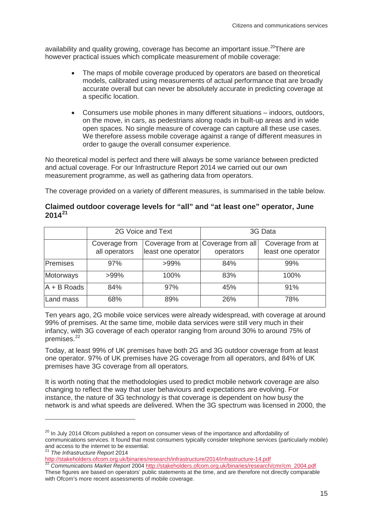availability and quality growing, coverage has become an important issue.<sup>[20](#page-18-0)</sup>There are however practical issues which complicate measurement of mobile coverage:

- The maps of mobile coverage produced by operators are based on theoretical models, calibrated using measurements of actual performance that are broadly accurate overall but can never be absolutely accurate in predicting coverage at a specific location.
- Consumers use mobile phones in many different situations indoors, outdoors, on the move, in cars, as pedestrians along roads in built-up areas and in wide open spaces. No single measure of coverage can capture all these use cases. We therefore assess mobile coverage against a range of different measures in order to gauge the overall consumer experience.

No theoretical model is perfect and there will always be some variance between predicted and actual coverage. For our Infrastructure Report 2014 we carried out our own measurement programme, as well as gathering data from operators.

The coverage provided on a variety of different measures, is summarised in the table below.

| Claimed outdoor coverage levels for "all" and "at least one" operator, June |  |  |  |
|-----------------------------------------------------------------------------|--|--|--|
| $2014^{21}$                                                                 |  |  |  |

|                          | 2G Voice and Text              |                    | 3G Data                                         |                                        |
|--------------------------|--------------------------------|--------------------|-------------------------------------------------|----------------------------------------|
|                          | Coverage from<br>all operators | least one operator | Coverage from at Coverage from all<br>operators | Coverage from at<br>least one operator |
| Premises                 | 97%                            | $>99\%$            | 84%                                             | 99%                                    |
| Motorways                | $>99\%$                        | 100%               | 83%                                             | 100%                                   |
| $\overline{A}$ + B Roads | 84%                            | 97%                | 45%                                             | 91%                                    |
| Land mass                | 68%                            | 89%                | 26%                                             | 78%                                    |

Ten years ago, 2G mobile voice services were already widespread, with coverage at around 99% of premises. At the same time, mobile data services were still very much in their infancy, with 3G coverage of each operator ranging from around 30% to around 75% of premises. [22](#page-18-2)

Today, at least 99% of UK premises have both 2G and 3G outdoor coverage from at least one operator. 97% of UK premises have 2G coverage from all operators, and 84% of UK premises have 3G coverage from all operators.

It is worth noting that the methodologies used to predict mobile network coverage are also changing to reflect the way that user behaviours and expectations are evolving. For instance, the nature of 3G technology is that coverage is dependent on how busy the network is and what speeds are delivered. When the 3G spectrum was licensed in 2000, the

<span id="page-18-0"></span><sup>&</sup>lt;sup>20</sup> In July 2014 Ofcom published a report on consumer views of the importance and affordability of communications services. It found that most consumers typically consider telephone services (particularly mobile) and access to the internet to be essential.

<sup>21</sup> *The Infrastructure Report* 2014

<span id="page-18-2"></span><span id="page-18-1"></span>[http://stakeholders.ofcom.org.uk/binaries/research/infrastructure/2014/infrastructure-14.pdf 22](http://stakeholders.ofcom.org.uk/binaries/research/infrastructure/2014/infrastructure-14.pdf) *Communications Market Report* <sup>2004</sup> [http://stakeholders.ofcom.org.uk/binaries/research/cmr/cm\\_2004.pdf](http://stakeholders.ofcom.org.uk/binaries/research/cmr/cm_2004.pdf) These figures are based on operators' public statements at the time, and are therefore not directly comparable with Ofcom's more recent assessments of mobile coverage.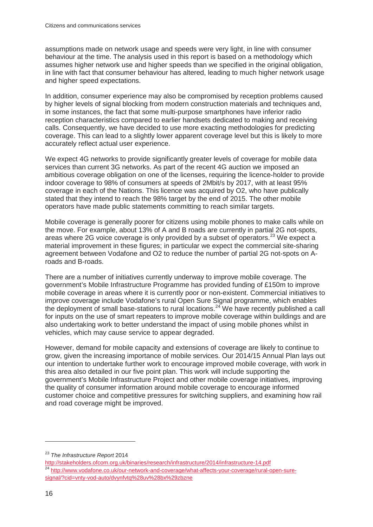assumptions made on network usage and speeds were very light, in line with consumer behaviour at the time. The analysis used in this report is based on a methodology which assumes higher network use and higher speeds than we specified in the original obligation, in line with fact that consumer behaviour has altered, leading to much higher network usage and higher speed expectations.

In addition, consumer experience may also be compromised by reception problems caused by higher levels of signal blocking from modern construction materials and techniques and, in some instances, the fact that some multi-purpose smartphones have inferior radio reception characteristics compared to earlier handsets dedicated to making and receiving calls. Consequently, we have decided to use more exacting methodologies for predicting coverage. This can lead to a slightly lower apparent coverage level but this is likely to more accurately reflect actual user experience.

We expect 4G networks to provide significantly greater levels of coverage for mobile data services than current 3G networks. As part of the recent 4G auction we imposed an ambitious coverage obligation on one of the licenses, requiring the licence-holder to provide indoor coverage to 98% of consumers at speeds of 2Mbit/s by 2017, with at least 95% coverage in each of the Nations. This licence was acquired by O2, who have publically stated that they intend to reach the 98% target by the end of 2015. The other mobile operators have made public statements committing to reach similar targets.

Mobile coverage is generally poorer for citizens using mobile phones to make calls while on the move. For example, about 13% of A and B roads are currently in partial 2G not-spots, areas where 2G voice coverage is only provided by a subset of operators.<sup>[23](#page-19-0)</sup> We expect a material improvement in these figures; in particular we expect the commercial site-sharing agreement between Vodafone and O2 to reduce the number of partial 2G not-spots on Aroads and B-roads.

There are a number of initiatives currently underway to improve mobile coverage. The government's Mobile Infrastructure Programme has provided funding of £150m to improve mobile coverage in areas where it is currently poor or non-existent. Commercial initiatives to improve coverage include Vodafone's rural Open Sure Signal programme, which enables the deployment of small base-stations to rural locations.<sup>[24](#page-19-1)</sup> We have recently published a call for inputs on the use of smart repeaters to improve mobile coverage within buildings and are also undertaking work to better understand the impact of using mobile phones whilst in vehicles, which may cause service to appear degraded.

However, demand for mobile capacity and extensions of coverage are likely to continue to grow, given the increasing importance of mobile services. Our 2014/15 Annual Plan lays out our intention to undertake further work to encourage improved mobile coverage, with work in this area also detailed in our five point plan. This work will include supporting the government's Mobile Infrastructure Project and other mobile coverage initiatives, improving the quality of consumer information around mobile coverage to encourage informed customer choice and competitive pressures for switching suppliers, and examining how rail and road coverage might be improved.

<span id="page-19-1"></span><span id="page-19-0"></span><sup>&</sup>lt;sup>23</sup> The Infrastructure Report 2014<br>http://stakeholders.ofcom.org.uk/binaries/research/infrastructure/2014/infrastructure-14.pdf <sup>24</sup> [http://www.vodafone.co.uk/our-network-and-coverage/what-affects-your-coverage/rural-open-sure](http://www.vodafone.co.uk/our-network-and-coverage/what-affects-your-coverage/rural-open-sure-signal/?cid=vnty-vod-auto/dvynfvtq%28uv%28bx%29zbzne)[signal/?cid=vnty-vod-auto/dvynfvtq%28uv%28bx%29zbzne](http://www.vodafone.co.uk/our-network-and-coverage/what-affects-your-coverage/rural-open-sure-signal/?cid=vnty-vod-auto/dvynfvtq%28uv%28bx%29zbzne)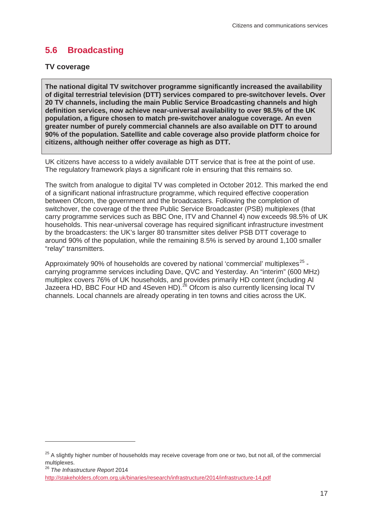## **5.6 Broadcasting**

#### **TV coverage**

**The national digital TV switchover programme significantly increased the availability of digital terrestrial television (DTT) services compared to pre-switchover levels. Over 20 TV channels, including the main Public Service Broadcasting channels and high definition services, now achieve near-universal availability to over 98.5% of the UK population, a figure chosen to match pre-switchover analogue coverage. An even greater number of purely commercial channels are also available on DTT to around 90% of the population. Satellite and cable coverage also provide platform choice for citizens, although neither offer coverage as high as DTT.**

UK citizens have access to a widely available DTT service that is free at the point of use. The regulatory framework plays a significant role in ensuring that this remains so.

The switch from analogue to digital TV was completed in October 2012. This marked the end of a significant national infrastructure programme, which required effective cooperation between Ofcom, the government and the broadcasters. Following the completion of switchover, the coverage of the three Public Service Broadcaster (PSB) multiplexes (that carry programme services such as BBC One, ITV and Channel 4) now exceeds 98.5% of UK households. This near-universal coverage has required significant infrastructure investment by the broadcasters: the UK's larger 80 transmitter sites deliver PSB DTT coverage to around 90% of the population, while the remaining 8.5% is served by around 1,100 smaller "relay" transmitters.

Approximately 90% of households are covered by national 'commercial' multiplexes<sup>[25](#page-20-0)</sup> carrying programme services including Dave, QVC and Yesterday. An "interim" (600 MHz) multiplex covers 76% of UK households, and provides primarily HD content (including Al Jazeera HD, BBC Four HD and 4Seven HD).<sup>[26](#page-20-1)</sup> Ofcom is also currently licensing local TV channels. Local channels are already operating in ten towns and cities across the UK.

<span id="page-20-0"></span><sup>&</sup>lt;sup>25</sup> A slightly higher number of households may receive coverage from one or two, but not all, of the commercial multiplexes.

<span id="page-20-1"></span><sup>26</sup> *The Infrastructure Report* 2014

<http://stakeholders.ofcom.org.uk/binaries/research/infrastructure/2014/infrastructure-14.pdf>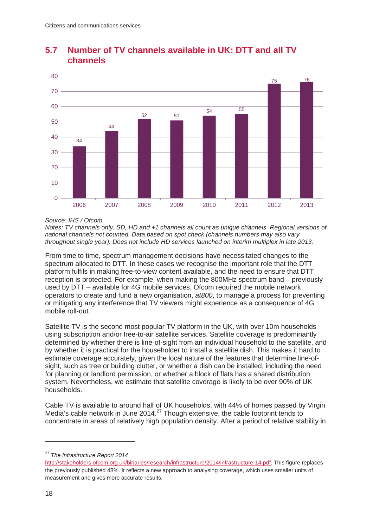

## **5.7 Number of TV channels available in UK: DTT and all TV channels**

#### *Source: IHS / Ofcom*

*Notes: TV channels only. SD, HD and +1 channels all count as unique channels. Regional versions of national channels not counted. Data based on spot check (channels numbers may also vary throughout single year). Does not include HD services launched on interim multiplex in late 2013.* 

From time to time, spectrum management decisions have necessitated changes to the spectrum allocated to DTT. In these cases we recognise the important role that the DTT platform fulfils in making free-to-view content available, and the need to ensure that DTT reception is protected. For example, when making the 800MHz spectrum band – previously used by DTT – available for 4G mobile services, Ofcom required the mobile network operators to create and fund a new organisation, *at800*, to manage a process for preventing or mitigating any interference that TV viewers might experience as a consequence of 4G mobile roll-out.

Satellite TV is the second most popular TV platform in the UK, with over 10m households using subscription and/or free-to-air satellite services. Satellite coverage is predominantly determined by whether there is line-of-sight from an individual household to the satellite, and by whether it is practical for the householder to install a satellite dish. This makes it hard to estimate coverage accurately, given the local nature of the features that determine line-ofsight, such as tree or building clutter, or whether a dish can be installed, including the need for planning or landlord permission, or whether a block of flats has a shared distribution system. Nevertheless, we estimate that satellite coverage is likely to be over 90% of UK households.

Cable TV is available to around half of UK households, with 44% of homes passed by Virgin Media's cable network in June 2014.<sup>[27](#page-21-0)</sup> Though extensive, the cable footprint tends to concentrate in areas of relatively high population density. After a period of relative stability in

<span id="page-21-0"></span><sup>27</sup> *The Infrastructure Report 2014*

[http://stakeholders.ofcom.org.uk/binaries/research/infrastructure/2014/infrastructure-14.pdf.](http://stakeholders.ofcom.org.uk/binaries/research/infrastructure/2014/infrastructure-14.pdf) This figure replaces the previously published 48%. It reflects a new approach to analysing coverage, which uses smaller units of measurement and gives more accurate results.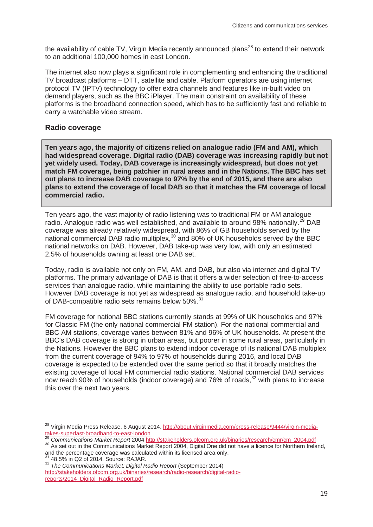the availability of cable TV, Virgin Media recently announced plans<sup>[28](#page-22-0)</sup> to extend their network to an additional 100,000 homes in east London.

The internet also now plays a significant role in complementing and enhancing the traditional TV broadcast platforms – DTT, satellite and cable. Platform operators are using internet protocol TV (IPTV) technology to offer extra channels and features like in-built video on demand players, such as the BBC iPlayer. The main constraint on availability of these platforms is the broadband connection speed, which has to be sufficiently fast and reliable to carry a watchable video stream.

#### **Radio coverage**

**Ten years ago, the majority of citizens relied on analogue radio (FM and AM), which had widespread coverage. Digital radio (DAB) coverage was increasing rapidly but not yet widely used. Today, DAB coverage is increasingly widespread, but does not yet match FM coverage, being patchier in rural areas and in the Nations. The BBC has set out plans to increase DAB coverage to 97% by the end of 2015, and there are also plans to extend the coverage of local DAB so that it matches the FM coverage of local commercial radio.**

Ten years ago, the vast majority of radio listening was to traditional FM or AM analogue radio. Analogue radio was well established, and available to around 98% nationally.<sup>[29](#page-22-1)</sup> DAB coverage was already relatively widespread, with 86% of GB households served by the national commercial DAB radio multiplex,<sup>[30](#page-22-2)</sup> and 80% of UK households served by the BBC national networks on DAB. However, DAB take-up was very low, with only an estimated 2.5% of households owning at least one DAB set.

Today, radio is available not only on FM, AM, and DAB, but also via internet and digital TV platforms. The primary advantage of DAB is that it offers a wider selection of free-to-access services than analogue radio, while maintaining the ability to use portable radio sets. However DAB coverage is not yet as widespread as analogue radio, and household take-up of DAB-compatible radio sets remains below 50%.<sup>[31](#page-22-3)</sup>

FM coverage for national BBC stations currently stands at 99% of UK households and 97% for Classic FM (the only national commercial FM station). For the national commercial and BBC AM stations, coverage varies between 81% and 96% of UK households. At present the BBC's DAB coverage is strong in urban areas, but poorer in some rural areas, particularly in the Nations. However the BBC plans to extend indoor coverage of its national DAB multiplex from the current coverage of 94% to 97% of households during 2016, and local DAB coverage is expected to be extended over the same period so that it broadly matches the existing coverage of local FM commercial radio stations. National commercial DAB services now reach 90% of households (indoor coverage) and 76% of roads,<sup>[32](#page-22-4)</sup> with plans to increase this over the next two years.

<span id="page-22-0"></span><sup>&</sup>lt;sup>28</sup> Virgin Media Press Release, 6 August 2014. http://about.virginmedia.com/press-release/9444/virgin-media-<br>takes-superfast-broadband-to-east-london<br><sup>29</sup> Osmanumia title dia-construction of the construction of the constr

<span id="page-22-1"></span><sup>&</sup>lt;sup>29</sup> Communications Market Report 2004 [http://stakeholders.ofcom.org.uk/binaries/research/cmr/cm\\_2004.pdf](http://stakeholders.ofcom.org.uk/binaries/research/cmr/cm_2004.pdf)<br><sup>30</sup> As set out in the Communications Market Report 2004, Digital One did not have a licence for Northern Ireland,

<span id="page-22-2"></span>and the percentage coverage was calculated within its licensed area only.<br><sup>31</sup> 48.5% in Q2 of 2014. Source: RAJAR.

<span id="page-22-4"></span><span id="page-22-3"></span><sup>31</sup> 48.5% in Q2 of 2014. Source: RAJAR. <sup>32</sup> *The Communications Market: Digital Radio Report* (September 2014)

[http://stakeholders.ofcom.org.uk/binaries/research/radio-research/digital-radio](http://stakeholders.ofcom.org.uk/binaries/research/radio-research/digital-radio-reports/2014_Digital_Radio_Report.pdf)[reports/2014\\_Digital\\_Radio\\_Report.pdf](http://stakeholders.ofcom.org.uk/binaries/research/radio-research/digital-radio-reports/2014_Digital_Radio_Report.pdf)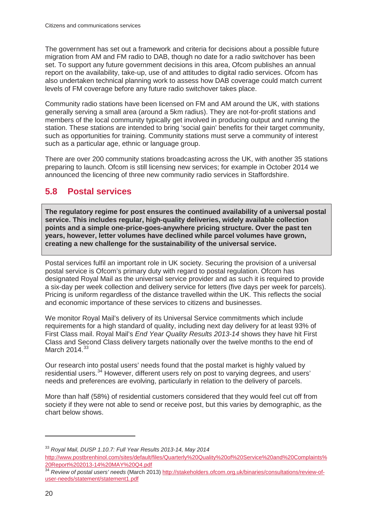The government has set out a framework and criteria for decisions about a possible future migration from AM and FM radio to DAB, though no date for a radio switchover has been set. To support any future government decisions in this area, Ofcom publishes an annual report on the availability, take-up, use of and attitudes to digital radio services. Ofcom has also undertaken technical planning work to assess how DAB coverage could match current levels of FM coverage before any future radio switchover takes place.

Community radio stations have been licensed on FM and AM around the UK, with stations generally serving a small area (around a 5km radius). They are not-for-profit stations and members of the local community typically get involved in producing output and running the station. These stations are intended to bring 'social gain' benefits for their target community, such as opportunities for training. Community stations must serve a community of interest such as a particular age, ethnic or language group.

There are over 200 community stations broadcasting across the UK, with another 35 stations preparing to launch. Ofcom is still licensing new services; for example in October 2014 we announced the licencing of three new community radio services in Staffordshire.

## **5.8 Postal services**

**The regulatory regime for post ensures the continued availability of a universal postal service. This includes regular, high-quality deliveries, widely available collection points and a simple one-price-goes-anywhere pricing structure. Over the past ten years, however, letter volumes have declined while parcel volumes have grown, creating a new challenge for the sustainability of the universal service.**

Postal services fulfil an important role in UK society. Securing the provision of a universal postal service is Ofcom's primary duty with regard to postal regulation. Ofcom has designated Royal Mail as the universal service provider and as such it is required to provide a six-day per week collection and delivery service for letters (five days per week for parcels). Pricing is uniform regardless of the distance travelled within the UK. This reflects the social and economic importance of these services to citizens and businesses.

We monitor Royal Mail's delivery of its Universal Service commitments which include requirements for a high standard of quality, including next day delivery for at least 93% of First Class mail. Royal Mail's *End Year Quality Results 2013-14* shows they have hit First Class and Second Class delivery targets nationally over the twelve months to the end of March 2014.<sup>[33](#page-23-0)</sup>

Our research into postal users' needs found that the postal market is highly valued by residential users.<sup>[34](#page-23-1)</sup> However, different users rely on post to varying degrees, and users' needs and preferences are evolving, particularly in relation to the delivery of parcels.

More than half (58%) of residential customers considered that they would feel cut off from society if they were not able to send or receive post, but this varies by demographic, as the chart below shows.

<span id="page-23-0"></span><sup>33</sup> *Royal Mail, DUSP 1.10.7: Full Year Results 2013-14, May 2014*

[http://www.postbrenhinol.com/sites/default/files/Quarterly%20Quality%20of%20Service%20and%20Complaints%](http://www.postbrenhinol.com/sites/default/files/Quarterly%20Quality%20of%20Service%20and%20Complaints%20Report%202013-14%20MAY%20Q4.pdf) [20Report%202013-14%20MAY%20Q4.pdf 34](http://www.postbrenhinol.com/sites/default/files/Quarterly%20Quality%20of%20Service%20and%20Complaints%20Report%202013-14%20MAY%20Q4.pdf) *Review of postal users' needs* (March 2013) [http://stakeholders.ofcom.org.uk/binaries/consultations/review-of-](http://stakeholders.ofcom.org.uk/binaries/consultations/review-of-user-needs/statement/statement1.pdf)

<span id="page-23-1"></span>[user-needs/statement/statement1.pdf](http://stakeholders.ofcom.org.uk/binaries/consultations/review-of-user-needs/statement/statement1.pdf)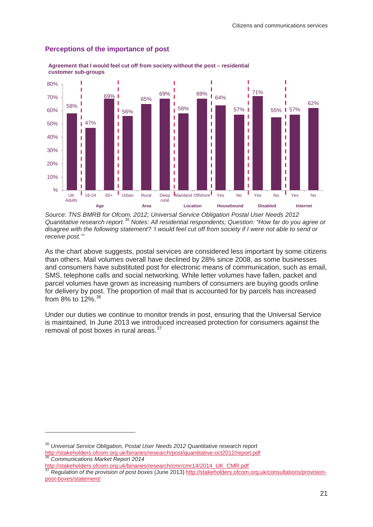

#### **Perceptions of the importance of post**

**Agreement that I would feel cut off from society without the post – residential customer sub-groups**

Source: TNS BMRB for Ofcom, 2012; Universal Service Obligation Postal User Needs 2012 Quantitative research report.<sup>[35](#page-24-0)</sup> Notes: All residential respondents; Question: "How far do you agree or *disagree with the following statement? 'I would feel cut off from society if I were not able to send or receive post.'"*

As the chart above suggests, postal services are considered less important by some citizens than others. Mail volumes overall have declined by 28% since 2008, as some businesses and consumers have substituted post for electronic means of communication, such as email, SMS, telephone calls and social networking. While letter volumes have fallen, packet and parcel volumes have grown as increasing numbers of consumers are buying goods online for delivery by post. The proportion of mail that is accounted for by parcels has increased from 8% to 12%.<sup>36</sup>

Under our duties we continue to monitor trends in post, ensuring that the Universal Service is maintained. In June 2013 we introduced increased protection for consumers against the removal of post boxes in rural areas.<sup>[37](#page-24-2)</sup>

<span id="page-24-0"></span><sup>35</sup> *Universal Service Obligation, Postal User Needs 2012* Quantitative research report [http://stakeholders.ofcom.org.uk/binaries/research/post/quantitative-oct2012/report.pdf 36](http://stakeholders.ofcom.org.uk/binaries/research/post/quantitative-oct2012/report.pdf) *Communications Market Report <sup>2014</sup>*

<span id="page-24-1"></span>

<span id="page-24-2"></span>[http://stakeholders.ofcom.org.uk/binaries/research/cmr/cmr14/2014\\_UK\\_CMR.pdf 37](http://stakeholders.ofcom.org.uk/binaries/research/cmr/cmr14/2014_UK_CMR.pdf) *Regulation of the provision of post boxes* (June 2013) [http://stakeholders.ofcom.org.uk/consultations/provision](http://stakeholders.ofcom.org.uk/consultations/provision-post-boxes/statement/)[post-boxes/statement/](http://stakeholders.ofcom.org.uk/consultations/provision-post-boxes/statement/)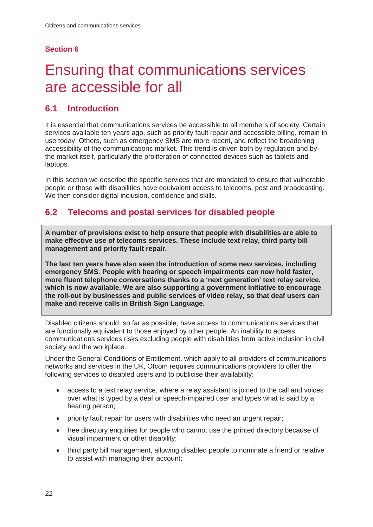### **Section 6**

# <span id="page-25-0"></span>6 Ensuring that communications services are accessible for all

## **6.1 Introduction**

It is essential that communications services be accessible to all members of society. Certain services available ten years ago, such as priority fault repair and accessible billing, remain in use today. Others, such as emergency SMS are more recent, and reflect the broadening accessibility of the communications market. This trend is driven both by regulation and by the market itself, particularly the proliferation of connected devices such as tablets and laptops.

In this section we describe the specific services that are mandated to ensure that vulnerable people or those with disabilities have equivalent access to telecoms, post and broadcasting. We then consider digital inclusion, confidence and skills.

## **6.2 Telecoms and postal services for disabled people**

**A number of provisions exist to help ensure that people with disabilities are able to make effective use of telecoms services. These include text relay, third party bill management and priority fault repair.** 

**The last ten years have also seen the introduction of some new services, including emergency SMS. People with hearing or speech impairments can now hold faster, more fluent telephone conversations thanks to a 'next generation' text relay service, which is now available. We are also supporting a government initiative to encourage the roll-out by businesses and public services of video relay, so that deaf users can make and receive calls in British Sign Language.**

Disabled citizens should, so far as possible, have access to communications services that are functionally equivalent to those enjoyed by other people. An inability to access communications services risks excluding people with disabilities from active inclusion in civil society and the workplace.

Under the General Conditions of Entitlement, which apply to all providers of communications networks and services in the UK, Ofcom requires communications providers to offer the following services to disabled users and to publicise their availability:

- access to a text relay service, where a relay assistant is joined to the call and voices over what is typed by a deaf or speech-impaired user and types what is said by a hearing person;
- priority fault repair for users with disabilities who need an urgent repair;
- free directory enquiries for people who cannot use the printed directory because of visual impairment or other disability;
- third party bill management, allowing disabled people to nominate a friend or relative to assist with managing their account;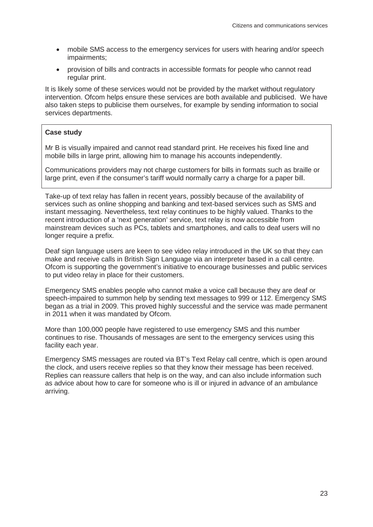- mobile SMS access to the emergency services for users with hearing and/or speech impairments;
- provision of bills and contracts in accessible formats for people who cannot read regular print.

It is likely some of these services would not be provided by the market without regulatory intervention. Ofcom helps ensure these services are both available and publicised. We have also taken steps to publicise them ourselves, for example by sending information to social services departments.

#### **Case study**

Mr B is visually impaired and cannot read standard print. He receives his fixed line and mobile bills in large print, allowing him to manage his accounts independently.

Communications providers may not charge customers for bills in formats such as braille or large print, even if the consumer's tariff would normally carry a charge for a paper bill.

Take-up of text relay has fallen in recent years, possibly because of the availability of services such as online shopping and banking and text-based services such as SMS and instant messaging. Nevertheless, text relay continues to be highly valued. Thanks to the recent introduction of a 'next generation' service, text relay is now accessible from mainstream devices such as PCs, tablets and smartphones, and calls to deaf users will no longer require a prefix.

Deaf sign language users are keen to see video relay introduced in the UK so that they can make and receive calls in British Sign Language via an interpreter based in a call centre. Ofcom is supporting the government's initiative to encourage businesses and public services to put video relay in place for their customers.

Emergency SMS enables people who cannot make a voice call because they are deaf or speech-impaired to summon help by sending text messages to 999 or 112. Emergency SMS began as a trial in 2009. This proved highly successful and the service was made permanent in 2011 when it was mandated by Ofcom.

More than 100,000 people have registered to use emergency SMS and this number continues to rise. Thousands of messages are sent to the emergency services using this facility each year.

Emergency SMS messages are routed via BT's Text Relay call centre, which is open around the clock, and users receive replies so that they know their message has been received. Replies can reassure callers that help is on the way, and can also include information such as advice about how to care for someone who is ill or injured in advance of an ambulance arriving.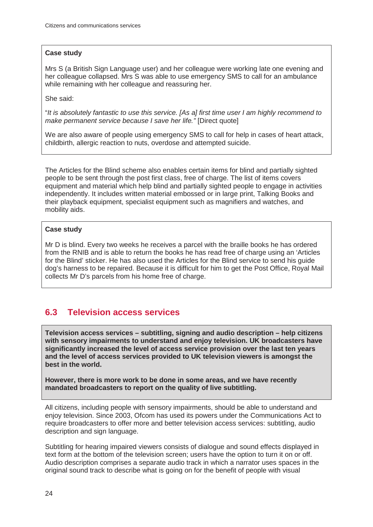#### **Case study**

Mrs S (a British Sign Language user) and her colleague were working late one evening and her colleague collapsed. Mrs S was able to use emergency SMS to call for an ambulance while remaining with her colleague and reassuring her.

She said:

"*It is absolutely fantastic to use this service. [As a] first time user I am highly recommend to make permanent service because I save her life."* [Direct quote]

We are also aware of people using emergency SMS to call for help in cases of heart attack, childbirth, allergic reaction to nuts, overdose and attempted suicide.

The Articles for the Blind scheme also enables certain items for blind and partially sighted people to be sent through the post first class, free of charge. The list of items covers equipment and material which help blind and partially sighted people to engage in activities independently. It includes written material embossed or in large print, Talking Books and their playback equipment, specialist equipment such as magnifiers and watches, and mobility aids.

#### **Case study**

Mr D is blind. Every two weeks he receives a parcel with the braille books he has ordered from the RNIB and is able to return the books he has read free of charge using an 'Articles for the Blind' sticker. He has also used the Articles for the Blind service to send his guide dog's harness to be repaired. Because it is difficult for him to get the Post Office, Royal Mail collects Mr D's parcels from his home free of charge.

## **6.3 Television access services**

**Television access services – subtitling, signing and audio description – help citizens with sensory impairments to understand and enjoy television. UK broadcasters have significantly increased the level of access service provision over the last ten years and the level of access services provided to UK television viewers is amongst the best in the world.** 

**However, there is more work to be done in some areas, and we have recently mandated broadcasters to report on the quality of live subtitling.** 

All citizens, including people with sensory impairments, should be able to understand and enjoy television. Since 2003, Ofcom has used its powers under the Communications Act to require broadcasters to offer more and better television access services: subtitling, audio description and sign language.

Subtitling for hearing impaired viewers consists of dialogue and sound effects displayed in text form at the bottom of the television screen; users have the option to turn it on or off. Audio description comprises a separate audio track in which a narrator uses spaces in the original sound track to describe what is going on for the benefit of people with visual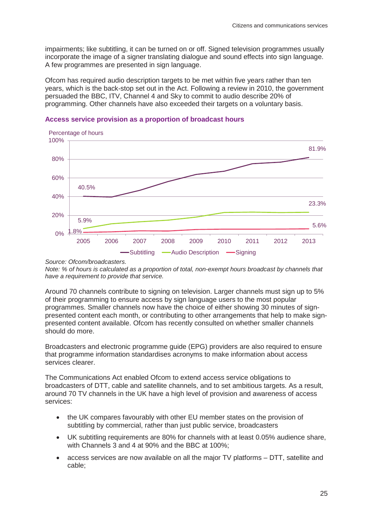impairments; like subtitling, it can be turned on or off. Signed television programmes usually incorporate the image of a signer translating dialogue and sound effects into sign language. A few programmes are presented in sign language.

Ofcom has required audio description targets to be met within five years rather than ten years, which is the back-stop set out in the Act. Following a review in 2010, the government persuaded the BBC, ITV, Channel 4 and Sky to commit to audio describe 20% of programming. Other channels have also exceeded their targets on a voluntary basis.



#### **Access service provision as a proportion of broadcast hours**

*Note: % of hours is calculated as a proportion of total, non-exempt hours broadcast by channels that have a requirement to provide that service.*

Around 70 channels contribute to signing on television. Larger channels must sign up to 5% of their programming to ensure access by sign language users to the most popular programmes. Smaller channels now have the choice of either showing 30 minutes of signpresented content each month, or contributing to other arrangements that help to make signpresented content available. Ofcom has recently consulted on whether smaller channels should do more.

Broadcasters and electronic programme guide (EPG) providers are also required to ensure that programme information standardises acronyms to make information about access services clearer.

The Communications Act enabled Ofcom to extend access service obligations to broadcasters of DTT, cable and satellite channels, and to set ambitious targets. As a result, around 70 TV channels in the UK have a high level of provision and awareness of access services:

- the UK compares favourably with other EU member states on the provision of subtitling by commercial, rather than just public service, broadcasters
- UK subtitling requirements are 80% for channels with at least 0.05% audience share, with Channels 3 and 4 at 90% and the BBC at 100%;
- access services are now available on all the major TV platforms DTT, satellite and cable;

*Source: Ofcom/broadcasters.*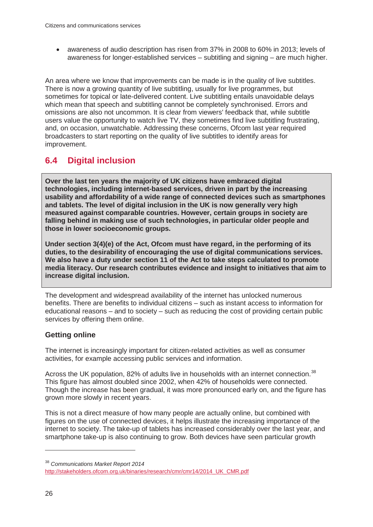• awareness of audio description has risen from 37% in 2008 to 60% in 2013; levels of awareness for longer-established services – subtitling and signing – are much higher.

An area where we know that improvements can be made is in the quality of live subtitles. There is now a growing quantity of live subtitling, usually for live programmes, but sometimes for topical or late-delivered content. Live subtitling entails unavoidable delays which mean that speech and subtitling cannot be completely synchronised. Errors and omissions are also not uncommon. It is clear from viewers' feedback that, while subtitle users value the opportunity to watch live TV, they sometimes find live subtitling frustrating, and, on occasion, unwatchable. Addressing these concerns, Ofcom last year required broadcasters to start reporting on the quality of live subtitles to identify areas for improvement.

## **6.4 Digital inclusion**

**Over the last ten years the majority of UK citizens have embraced digital technologies, including internet-based services, driven in part by the increasing usability and affordability of a wide range of connected devices such as smartphones and tablets. The level of digital inclusion in the UK is now generally very high measured against comparable countries. However, certain groups in society are falling behind in making use of such technologies, in particular older people and those in lower socioeconomic groups.** 

**Under section 3(4)(e) of the Act, Ofcom must have regard, in the performing of its duties, to the desirability of encouraging the use of digital communications services. We also have a duty under section 11 of the Act to take steps calculated to promote media literacy. Our research contributes evidence and insight to initiatives that aim to increase digital inclusion.**

The development and widespread availability of the internet has unlocked numerous benefits. There are benefits to individual citizens – such as instant access to information for educational reasons – and to society – such as reducing the cost of providing certain public services by offering them online.

## **Getting online**

The internet is increasingly important for citizen-related activities as well as consumer activities, for example accessing public services and information.

Across the UK population, 82% of adults live in households with an internet connection.<sup>[38](#page-29-0)</sup> This figure has almost doubled since 2002, when 42% of households were connected. Though the increase has been gradual, it was more pronounced early on, and the figure has grown more slowly in recent years.

This is not a direct measure of how many people are actually online, but combined with figures on the use of connected devices, it helps illustrate the increasing importance of the internet to society. The take-up of tablets has increased considerably over the last year, and smartphone take-up is also continuing to grow. Both devices have seen particular growth

<span id="page-29-0"></span><sup>38</sup> *Communications Market Report 2014*

[http://stakeholders.ofcom.org.uk/binaries/research/cmr/cmr14/2014\\_UK\\_CMR.pdf](http://stakeholders.ofcom.org.uk/binaries/research/cmr/cmr14/2014_UK_CMR.pdf)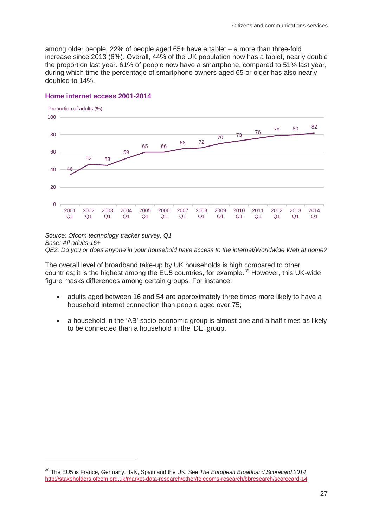among older people. 22% of people aged 65+ have a tablet – a more than three-fold increase since 2013 (6%). Overall, 44% of the UK population now has a tablet, nearly double the proportion last year. 61% of people now have a smartphone, compared to 51% last year, during which time the percentage of smartphone owners aged 65 or older has also nearly doubled to 14%.



#### **Home internet access 2001-2014**

-

*Source: Ofcom technology tracker survey, Q1 Base: All adults 16+ QE2. Do you or does anyone in your household have access to the internet/Worldwide Web at home?*

The overall level of broadband take-up by UK households is high compared to other countries; it is the highest among the EU5 countries, for example.<sup>[39](#page-30-0)</sup> However, this UK-wide figure masks differences among certain groups. For instance:

- adults aged between 16 and 54 are approximately three times more likely to have a household internet connection than people aged over 75;
- a household in the 'AB' socio-economic group is almost one and a half times as likely to be connected than a household in the 'DE' group.

<span id="page-30-0"></span><sup>39</sup> The EU5 is France, Germany, Italy, Spain and the UK. See *The European Broadband Scorecard 2014* <http://stakeholders.ofcom.org.uk/market-data-research/other/telecoms-research/bbresearch/scorecard-14>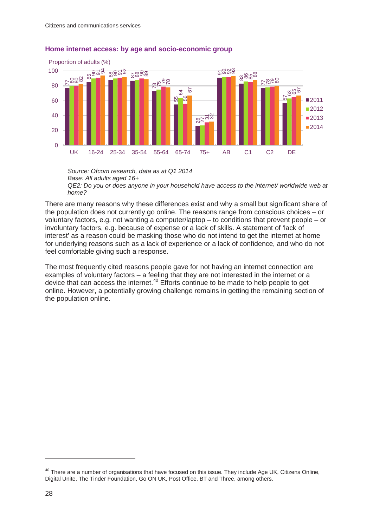

#### **Home internet access: by age and socio-economic group**

*Source: Ofcom research, data as at Q1 2014 Base: All adults aged 16+ QE2: Do you or does anyone in your household have access to the internet/ worldwide web at home?*

There are many reasons why these differences exist and why a small but significant share of the population does not currently go online. The reasons range from conscious choices – or voluntary factors, e.g. not wanting a computer/laptop – to conditions that prevent people – or involuntary factors, e.g. because of expense or a lack of skills. A statement of 'lack of interest' as a reason could be masking those who do not intend to get the internet at home for underlying reasons such as a lack of experience or a lack of confidence, and who do not feel comfortable giving such a response.

The most frequently cited reasons people gave for not having an internet connection are examples of voluntary factors – a feeling that they are not interested in the internet or a device that can access the internet.<sup>[40](#page-31-0)</sup> Efforts continue to be made to help people to get online. However, a potentially growing challenge remains in getting the remaining section of the population online.

<span id="page-31-0"></span><sup>&</sup>lt;sup>40</sup> There are a number of organisations that have focused on this issue. They include Age UK, Citizens Online, Digital Unite, The Tinder Foundation, Go ON UK, Post Office, BT and Three, among others.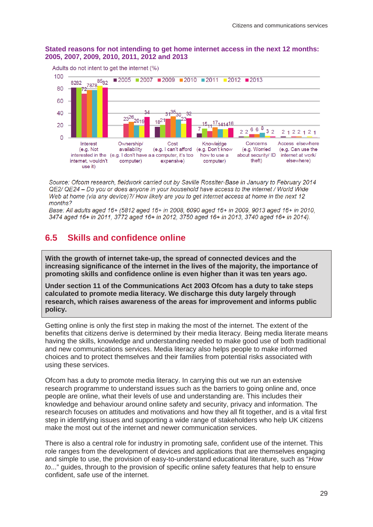#### **Stated reasons for not intending to get home internet access in the next 12 months: 2005, 2007, 2009, 2010, 2011, 2012 and 2013**



Source: Ofcom research, fieldwork carried out by Saville Rossiter-Base in January to February 2014 QE2/ QE24 – Do vou or does anvone in your household have access to the internet / World Wide Web at home (via any device)?/ How likely are you to get internet access at home in the next 12 months?

Base: All adults aged 16+ (5812 aged 16+ in 2008, 6090 aged 16+ in 2009, 9013 aged 16+ in 2010, 3474 aged 16+ in 2011, 3772 aged 16+ in 2012, 3750 aged 16+ in 2013, 3740 aged 16+ in 2014).

## **6.5 Skills and confidence online**

**With the growth of internet take-up, the spread of connected devices and the increasing significance of the internet in the lives of the majority, the importance of promoting skills and confidence online is even higher than it was ten years ago.** 

**Under section 11 of the Communications Act 2003 Ofcom has a duty to take steps calculated to promote media literacy. We discharge this duty largely through research, which raises awareness of the areas for improvement and informs public policy.**

Getting online is only the first step in making the most of the internet. The extent of the benefits that citizens derive is determined by their media literacy. Being media literate means having the skills, knowledge and understanding needed to make good use of both traditional and new communications services. Media literacy also helps people to make informed choices and to protect themselves and their families from potential risks associated with using these services.

Ofcom has a duty to promote media literacy. In carrying this out we run an extensive research programme to understand issues such as the barriers to going online and, once people are online, what their levels of use and understanding are. This includes their knowledge and behaviour around online safety and security, privacy and information. The research focuses on attitudes and motivations and how they all fit together, and is a vital first step in identifying issues and supporting a wide range of stakeholders who help UK citizens make the most out of the internet and newer communication services.

There is also a central role for industry in promoting safe, confident use of the internet. This role ranges from the development of devices and applications that are themselves engaging and simple to use, the provision of easy-to-understand educational literature, such as "*How to*..." guides, through to the provision of specific online safety features that help to ensure confident, safe use of the internet.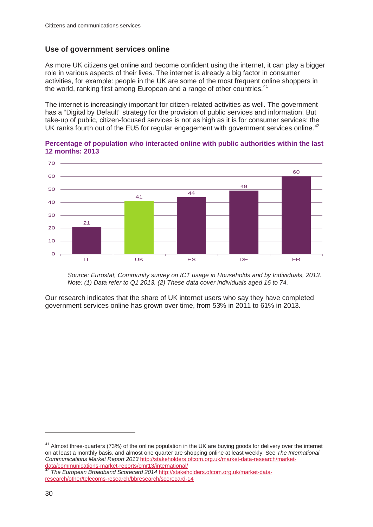### **Use of government services online**

As more UK citizens get online and become confident using the internet, it can play a bigger role in various aspects of their lives. The internet is already a big factor in consumer activities, for example: people in the UK are some of the most frequent online shoppers in the world, ranking first among European and a range of other countries.<sup>[41](#page-33-0)</sup>

The internet is increasingly important for citizen-related activities as well. The government has a "Digital by Default" strategy for the provision of public services and information. But take-up of public, citizen-focused services is not as high as it is for consumer services: the UK ranks fourth out of the EU5 for regular engagement with government services online.<sup>[42](#page-33-1)</sup>



**Percentage of population who interacted online with public authorities within the last 12 months: 2013**

*Source: Eurostat, Community survey on ICT usage in Households and by Individuals, 2013. Note: (1) Data refer to Q1 2013. (2) These data cover individuals aged 16 to 74.*

Our research indicates that the share of UK internet users who say they have completed government services online has grown over time, from 53% in 2011 to 61% in 2013.

<span id="page-33-0"></span><sup>41</sup> Almost three-quarters (73%) of the online population in the UK are buying goods for delivery over the internet on at least a monthly basis, and almost one quarter are shopping online at least weekly. See *The International Communications Market Report 2013* [http://stakeholders.ofcom.org.uk/market-data-research/market-](http://stakeholders.ofcom.org.uk/market-data-research/market-data/communications-market-reports/cmr13/international/)

<span id="page-33-1"></span>The European Broadband Scorecard 2014 [http://stakeholders.ofcom.org.uk/market-data](http://stakeholders.ofcom.org.uk/market-data-research/other/telecoms-research/bbresearch/scorecard-14)[research/other/telecoms-research/bbresearch/scorecard-14](http://stakeholders.ofcom.org.uk/market-data-research/other/telecoms-research/bbresearch/scorecard-14)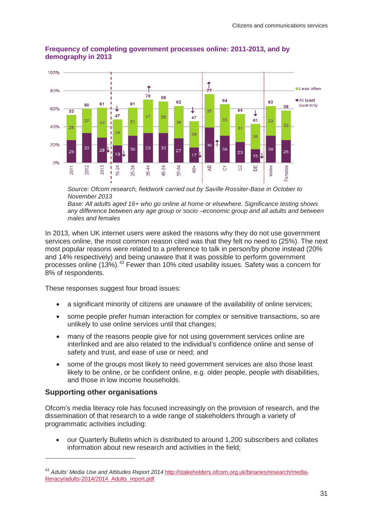

#### **Frequency of completing government processes online: 2011-2013, and by demography in 2013**

*Source: Ofcom research, fieldwork carried out by Saville Rossiter-Base in October to November 2013*

*Base: All adults aged 16+ who go online at home or elsewhere. Significance testing shows any difference between any age group or socio –economic group and all adults and between males and females*

In 2013, when UK internet users were asked the reasons why they do not use government services online, the most common reason cited was that they felt no need to (25%). The next most popular reasons were related to a preference to talk in person/by phone instead (20% and 14% respectively) and being unaware that it was possible to perform government processes online (13%).[43](#page-34-0) Fewer than 10% cited usability issues. Safety was a concern for 8% of respondents.

These responses suggest four broad issues:

- a significant minority of citizens are unaware of the availability of online services;
- some people prefer human interaction for complex or sensitive transactions, so are unlikely to use online services until that changes;
- many of the reasons people give for not using government services online are interlinked and are also related to the individual's confidence online and sense of safety and trust, and ease of use or need; and
- some of the groups most likely to need government services are also those least likely to be online, or be confident online, e.g. older people, people with disabilities, and those in low income households.

#### **Supporting other organisations**

-

Ofcom's media literacy role has focused increasingly on the provision of research, and the dissemination of that research to a wide range of stakeholders through a variety of programmatic activities including:

• our Quarterly Bulletin which is distributed to around 1,200 subscribers and collates information about new research and activities in the field;

<span id="page-34-0"></span><sup>43</sup> *Adults' Media Use and Attitudes Report 2014* [http://stakeholders.ofcom.org.uk/binaries/research/media](http://stakeholders.ofcom.org.uk/binaries/research/media-literacy/adults-2014/2014_Adults_report.pdf)literacy/adults-2014/2014 Adults\_report.pdf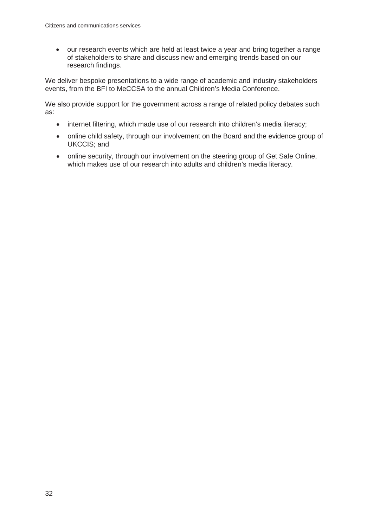• our research events which are held at least twice a year and bring together a range of stakeholders to share and discuss new and emerging trends based on our research findings.

We deliver bespoke presentations to a wide range of academic and industry stakeholders events, from the BFI to MeCCSA to the annual Children's Media Conference.

We also provide support for the government across a range of related policy debates such as:

- internet filtering, which made use of our research into children's media literacy;
- online child safety, through our involvement on the Board and the evidence group of UKCCIS; and
- online security, through our involvement on the steering group of Get Safe Online, which makes use of our research into adults and children's media literacy.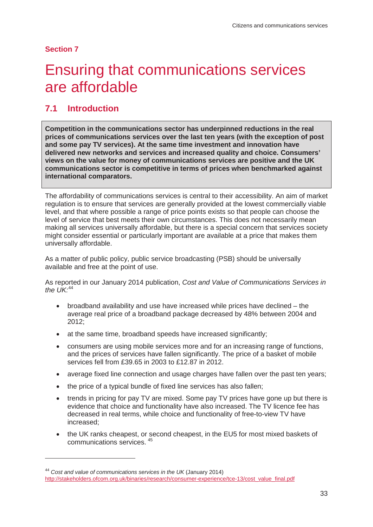**Section 7** 

-

# <span id="page-36-0"></span>**Ensuring that communications services** are affordable

## **7.1 Introduction**

**Competition in the communications sector has underpinned reductions in the real prices of communications services over the last ten years (with the exception of post and some pay TV services). At the same time investment and innovation have delivered new networks and services and increased quality and choice. Consumers' views on the value for money of communications services are positive and the UK communications sector is competitive in terms of prices when benchmarked against international comparators.**

The affordability of communications services is central to their accessibility. An aim of market regulation is to ensure that services are generally provided at the lowest commercially viable level, and that where possible a range of price points exists so that people can choose the level of service that best meets their own circumstances. This does not necessarily mean making all services universally affordable, but there is a special concern that services society might consider essential or particularly important are available at a price that makes them universally affordable.

As a matter of public policy, public service broadcasting (PSB) should be universally available and free at the point of use.

As reported in our January 2014 publication, *Cost and Value of Communications Services in the UK:* [44](#page-36-1)

- broadband availability and use have increased while prices have declined the average real price of a broadband package decreased by 48% between 2004 and 2012;
- at the same time, broadband speeds have increased significantly;
- consumers are using mobile services more and for an increasing range of functions, and the prices of services have fallen significantly. The price of a basket of mobile services fell from £39.65 in 2003 to £12.87 in 2012.
- average fixed line connection and usage charges have fallen over the past ten years;
- the price of a typical bundle of fixed line services has also fallen;
- trends in pricing for pay TV are mixed. Some pay TV prices have gone up but there is evidence that choice and functionality have also increased. The TV licence fee has decreased in real terms, while choice and functionality of free-to-view TV have increased;
- the UK ranks cheapest, or second cheapest, in the EU5 for most mixed baskets of communications services. [45](#page-36-1)

<span id="page-36-1"></span><sup>44</sup> *Cost and value of communications services in the UK* (January 2014) [http://stakeholders.ofcom.org.uk/binaries/research/consumer-experience/tce-13/cost\\_value\\_final.pdf](http://stakeholders.ofcom.org.uk/binaries/research/consumer-experience/tce-13/cost_value_final.pdf)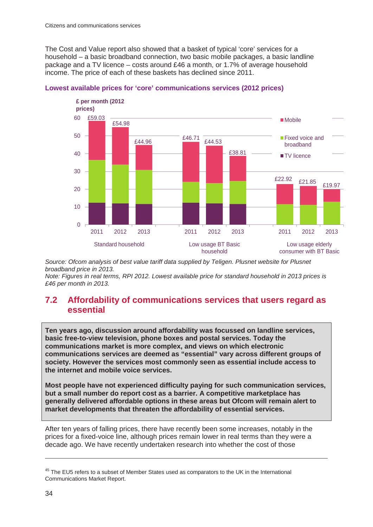The Cost and Value report also showed that a basket of typical 'core' services for a household – a basic broadband connection, two basic mobile packages, a basic landline package and a TV licence – costs around £46 a month, or 1.7% of average household income. The price of each of these baskets has declined since 2011.





*Source: Ofcom analysis of best value tariff data supplied by Teligen. Plusnet website for Plusnet broadband price in 2013.*

*Note: Figures in real terms, RPI 2012. Lowest available price for standard household in 2013 prices is £46 per month in 2013.*

### **7.2 Affordability of communications services that users regard as essential**

**Ten years ago, discussion around affordability was focussed on landline services, basic free-to-view television, phone boxes and postal services. Today the communications market is more complex, and views on which electronic communications services are deemed as "essential" vary across different groups of society. However the services most commonly seen as essential include access to the internet and mobile voice services.** 

**Most people have not experienced difficulty paying for such communication services, but a small number do report cost as a barrier. A competitive marketplace has generally delivered affordable options in these areas but Ofcom will remain alert to market developments that threaten the affordability of essential services.**

After ten years of falling prices, there have recently been some increases, notably in the prices for a fixed-voice line, although prices remain lower in real terms than they were a decade ago. We have recently undertaken research into whether the cost of those

<sup>&</sup>lt;sup>45</sup> The EU5 refers to a subset of Member States used as comparators to the UK in the International Communications Market Report.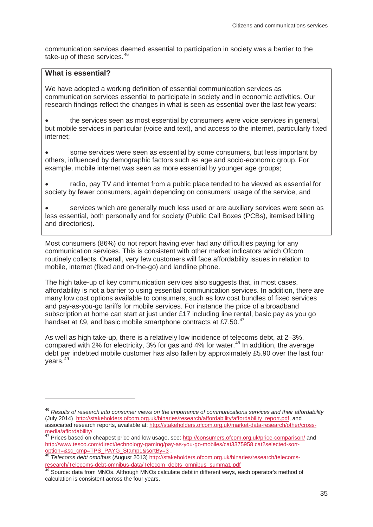communication services deemed essential to participation in society was a barrier to the take-up of these services.<sup>46</sup>

### **What is essential?**

-

We have adopted a working definition of essential communication services as communication services essential to participate in society and in economic activities. Our research findings reflect the changes in what is seen as essential over the last few years:

the services seen as most essential by consumers were voice services in general, but mobile services in particular (voice and text), and access to the internet, particularly fixed internet;

• some services were seen as essential by some consumers, but less important by others, influenced by demographic factors such as age and socio-economic group. For example, mobile internet was seen as more essential by younger age groups;

radio, pay TV and internet from a public place tended to be viewed as essential for society by fewer consumers, again depending on consumers' usage of the service, and

• services which are generally much less used or are auxiliary services were seen as less essential, both personally and for society (Public Call Boxes (PCBs), itemised billing and directories).

Most consumers (86%) do not report having ever had any difficulties paying for any communication services. This is consistent with other market indicators which Ofcom routinely collects. Overall, very few customers will face affordability issues in relation to mobile, internet (fixed and on-the-go) and landline phone.

The high take-up of key communication services also suggests that, in most cases, affordability is not a barrier to using essential communication services. In addition, there are many low cost options available to consumers, such as low cost bundles of fixed services and pay-as-you-go tariffs for mobile services. For instance the price of a broadband subscription at home can start at just under £17 including line rental, basic pay as you go handset at £9, and basic mobile smartphone contracts at £7.50.<sup>[47](#page-38-1)</sup>

As well as high take-up, there is a relatively low incidence of telecoms debt, at 2–3%, compared with 2% for electricity, 3% for gas and 4% for water.<sup>[48](#page-38-2)</sup> In addition, the average debt per indebted mobile customer has also fallen by approximately £5.90 over the last four years.[49](#page-38-3)

<span id="page-38-0"></span><sup>46</sup> *Results of research into consumer views on the importance of communications services and their affordability* (July 2014) [http://stakeholders.ofcom.org.uk/binaries/research/affordability/affordability\\_report.pdf,](http://stakeholders.ofcom.org.uk/binaries/research/affordability/affordability_report.pdf) and associated research reports, available at[: http://stakeholders.ofcom.org.uk/market-data-research/other/cross](http://stakeholders.ofcom.org.uk/market-data-research/other/cross-media/affordability/)[media/affordability/](http://stakeholders.ofcom.org.uk/market-data-research/other/cross-media/affordability/)

<span id="page-38-1"></span><sup>&</sup>lt;sup>47</sup> Prices based on cheapest price and low usage, see:<http://consumers.ofcom.org.uk/price-comparison/> and http://www.tesco.com/direct/technology-gaming/pay-as-you-go-mobiles/cat3375958.cat?selected-sort-<br>option=&sc\_cmp=TPS\_PAYG\_Stamp1&sortBy=3<br>#8\_Telesson:com/stamp1&sortBy=3

<span id="page-38-2"></span>Telecoms debt omnibus (August 2013) http://stakeholders[.](http://www.tesco.com/direct/technology-gaming/pay-as-you-go-mobiles/cat3375958.cat?selected-sort-option=&sc_cmp=TPS_PAYG_Stamp1&sortBy=3)ofcom.org.uk/binaries/research/telecoms[research/Telecoms-debt-omnibus-data/Telecom\\_debts\\_omnibus\\_summa1.pdf 49](http://stakeholders.ofcom.org.uk/binaries/research/telecoms-research/Telecoms-debt-omnibus-data/Telecom_debts_omnibus_summa1.pdf) Source: data from MNOs. Although MNOs calculate debt in different ways, each operator's method of

<span id="page-38-3"></span>calculation is consistent across the four years.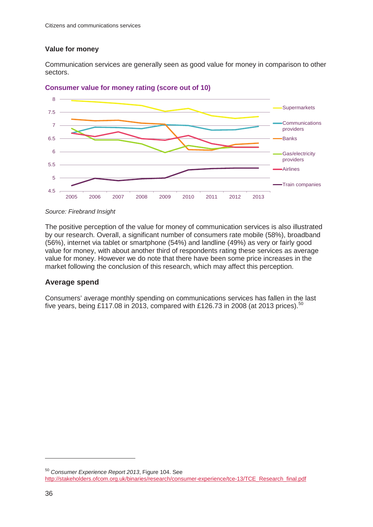#### **Value for money**

Communication services are generally seen as good value for money in comparison to other sectors.



**Consumer value for money rating (score out of 10)**

The positive perception of the value for money of communication services is also illustrated by our research. Overall, a significant number of consumers rate mobile (58%), broadband (56%), internet via tablet or smartphone (54%) and landline (49%) as very or fairly good value for money, with about another third of respondents rating these services as average value for money. However we do note that there have been some price increases in the market following the conclusion of this research, which may affect this perception.

### **Average spend**

Consumers' average monthly spending on communications services has fallen in the last five years, being £117.08 in 2013, compared with £126.73 in 2008 (at 2013 prices).<sup>[50](#page-39-0)</sup>

*Source: Firebrand Insight*

<span id="page-39-0"></span><sup>50</sup> *Consumer Experience Report 2013*, Figure 104. See [http://stakeholders.ofcom.org.uk/binaries/research/consumer-experience/tce-13/TCE\\_Research\\_final.pdf](http://stakeholders.ofcom.org.uk/binaries/research/consumer-experience/tce-13/TCE_Research_final.pdf)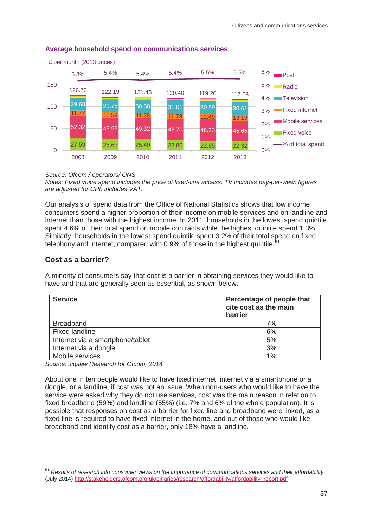

#### **Average household spend on communications services**

*Source: Ofcom / operators/ ONS*

*Notes: Fixed voice spend includes the price of fixed-line access; TV includes pay-per-view; figures are adjusted for CPI; includes VAT.*

Our analysis of spend data from the Office of National Statistics shows that low income consumers spend a higher proportion of their income on mobile services and on landline and internet than those with the highest income. In 2011, households in the lowest spend quintile spent 4.6% of their total spend on mobile contracts while the highest quintile spend 1.3%. Similarly, households in the lowest spend quintile spent 3.2% of their total spend on fixed telephony and internet, compared with 0.9% of those in the highest quintile.<sup>5</sup>

#### **Cost as a barrier?**

-

A minority of consumers say that cost is a barrier in obtaining services they would like to have and that are generally seen as essential, as shown below.

| <b>Service</b>                   | Percentage of people that<br>cite cost as the main<br>barrier |
|----------------------------------|---------------------------------------------------------------|
| <b>Broadband</b>                 | 7%                                                            |
| <b>Fixed landline</b>            | 6%                                                            |
| Internet via a smartphone/tablet | 5%                                                            |
| Internet via a dongle            | 3%                                                            |
| Mobile services                  | 1%                                                            |

*Source: Jigsaw Research for Ofcom, 2014*

About one in ten people would like to have fixed internet, internet via a smartphone or a dongle, or a landline, if cost was not an issue. When non-users who would like to have the service were asked why they do not use services, cost was the main reason in relation to fixed broadband (59%) and landline (55%) (i.e. 7% and 6% of the whole population). It is possible that responses on cost as a barrier for fixed line and broadband were linked, as a fixed line is required to have fixed internet in the home, and out of those who would like broadband and identify cost as a barrier, only 18% have a landline.

<span id="page-40-0"></span><sup>51</sup> *Results of research into consumer views on the importance of communications services and their affordability* (July 2014) [http://stakeholders.ofcom.org.uk/binaries/research/affordability/affordability\\_report.pdf](http://stakeholders.ofcom.org.uk/binaries/research/affordability/affordability_report.pdf)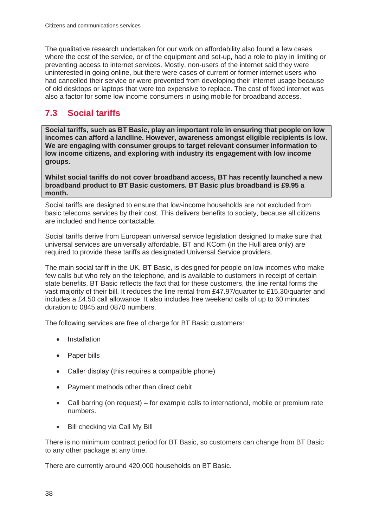The qualitative research undertaken for our work on affordability also found a few cases where the cost of the service, or of the equipment and set-up, had a role to play in limiting or preventing access to internet services. Mostly, non-users of the internet said they were uninterested in going online, but there were cases of current or former internet users who had cancelled their service or were prevented from developing their internet usage because of old desktops or laptops that were too expensive to replace. The cost of fixed internet was also a factor for some low income consumers in using mobile for broadband access.

## **7.3 Social tariffs**

**Social tariffs, such as BT Basic, play an important role in ensuring that people on low incomes can afford a landline. However, awareness amongst eligible recipients is low. We are engaging with consumer groups to target relevant consumer information to low income citizens, and exploring with industry its engagement with low income groups.** 

**Whilst social tariffs do not cover broadband access, BT has recently launched a new broadband product to BT Basic customers. BT Basic plus broadband is £9.95 a month.**

Social tariffs are designed to ensure that low-income households are not excluded from basic telecoms services by their cost. This delivers benefits to society, because all citizens are included and hence contactable.

Social tariffs derive from European universal service legislation designed to make sure that universal services are universally affordable. BT and KCom (in the Hull area only) are required to provide these tariffs as designated Universal Service providers.

The main social tariff in the UK, BT Basic, is designed for people on low incomes who make few calls but who rely on the telephone, and is available to customers in receipt of certain state benefits. BT Basic reflects the fact that for these customers, the line rental forms the vast majority of their bill. It reduces the line rental from £47.97/quarter to £15.30/quarter and includes a £4.50 call allowance. It also includes free weekend calls of up to 60 minutes' duration to 0845 and 0870 numbers.

The following services are free of charge for BT Basic customers:

- **Installation**
- Paper bills
- Caller display (this requires a compatible phone)
- Payment methods other than direct debit
- Call barring (on request) for example calls to international, mobile or premium rate numbers.
- Bill checking via Call My Bill

There is no minimum contract period for BT Basic, so customers can change from BT Basic to any other package at any time.

There are currently around 420,000 households on BT Basic.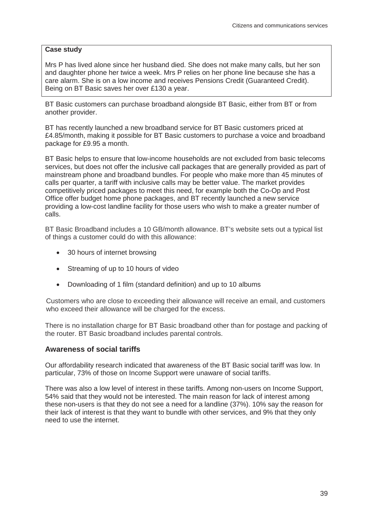#### **Case study**

Mrs P has lived alone since her husband died. She does not make many calls, but her son and daughter phone her twice a week. Mrs P relies on her phone line because she has a care alarm. She is on a low income and receives Pensions Credit (Guaranteed Credit). Being on BT Basic saves her over £130 a year.

BT Basic customers can purchase broadband alongside BT Basic, either from BT or from another provider.

BT has recently launched a new broadband service for BT Basic customers priced at £4.85/month, making it possible for BT Basic customers to purchase a voice and broadband package for £9.95 a month.

BT Basic helps to ensure that low-income households are not excluded from basic telecoms services, but does not offer the inclusive call packages that are generally provided as part of mainstream phone and broadband bundles. For people who make more than 45 minutes of calls per quarter, a tariff with inclusive calls may be better value. The market provides competitively priced packages to meet this need, for example both the Co-Op and Post Office offer budget home phone packages, and BT recently launched a new service providing a low-cost landline facility for those users who wish to make a greater number of calls.

BT Basic Broadband includes a 10 GB/month allowance. BT's website sets out a typical list of things a customer could do with this allowance:

- 30 hours of internet browsing
- Streaming of up to 10 hours of video
- Downloading of 1 film (standard definition) and up to 10 albums

Customers who are close to exceeding their allowance will receive an email, and customers who exceed their allowance will be charged for the excess.

There is no installation charge for BT Basic broadband other than for postage and packing of the router. BT Basic broadband includes parental controls.

#### **Awareness of social tariffs**

Our affordability research indicated that awareness of the BT Basic social tariff was low. In particular, 73% of those on Income Support were unaware of social tariffs.

There was also a low level of interest in these tariffs. Among non-users on Income Support, 54% said that they would not be interested. The main reason for lack of interest among these non-users is that they do not see a need for a landline (37%). 10% say the reason for their lack of interest is that they want to bundle with other services, and 9% that they only need to use the internet.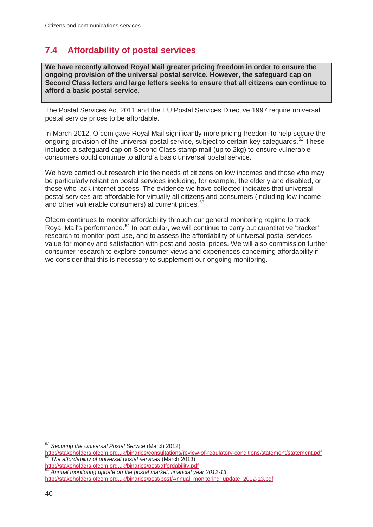## **7.4 Affordability of postal services**

**We have recently allowed Royal Mail greater pricing freedom in order to ensure the ongoing provision of the universal postal service. However, the safeguard cap on Second Class letters and large letters seeks to ensure that all citizens can continue to afford a basic postal service.**

The Postal Services Act 2011 and the EU Postal Services Directive 1997 require universal postal service prices to be affordable.

In March 2012, Ofcom gave Royal Mail significantly more pricing freedom to help secure the ongoing provision of the universal postal service, subject to certain key safeguards.<sup>[52](#page-43-0)</sup> These included a safeguard cap on Second Class stamp mail (up to 2kg) to ensure vulnerable consumers could continue to afford a basic universal postal service.

We have carried out research into the needs of citizens on low incomes and those who may be particularly reliant on postal services including, for example, the elderly and disabled, or those who lack internet access. The evidence we have collected indicates that universal postal services are affordable for virtually all citizens and consumers (including low income and other vulnerable consumers) at current prices.<sup>[53](#page-43-1)</sup>

Ofcom continues to monitor affordability through our general monitoring regime to track Royal Mail's performance.<sup>[54](#page-43-2)</sup> In particular, we will continue to carry out quantitative 'tracker' research to monitor post use, and to assess the affordability of universal postal services, value for money and satisfaction with post and postal prices. We will also commission further consumer research to explore consumer views and experiences concerning affordability if we consider that this is necessary to supplement our ongoing monitoring.

<sup>52</sup> *Securing the Universal Postal Service* (March 2012)

<span id="page-43-0"></span><http://stakeholders.ofcom.org.uk/binaries/consultations/review-of-regulatory-conditions/statement/statement.pdf> <sup>53</sup> *The affordability of universal postal services* (March 2013)

<span id="page-43-2"></span><span id="page-43-1"></span>[http://stakeholders.ofcom.org.uk/binaries/post/affordability.pdf 54](http://stakeholders.ofcom.org.uk/binaries/post/affordability.pdf) *Annual monitoring update on the postal market, financial year 2012-13* [http://stakeholders.ofcom.org.uk/binaries/post/post/Annual\\_monitoring\\_update\\_2012-13.pdf](http://stakeholders.ofcom.org.uk/binaries/post/post/Annual_monitoring_update_2012-13.pdf)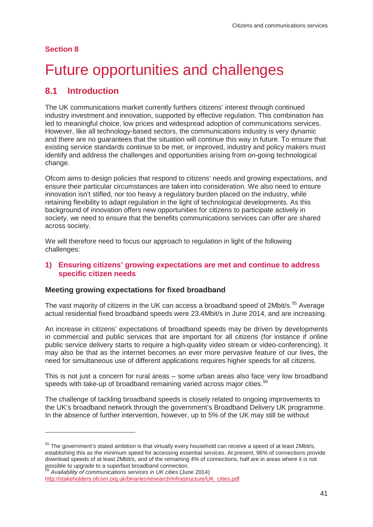#### **Section 8**

 $\overline{a}$ 

# <span id="page-44-0"></span>**Future opportunities and challenges**

### **8.1 Introduction**

The UK communications market currently furthers citizens' interest through continued industry investment and innovation, supported by effective regulation. This combination has led to meaningful choice, low prices and widespread adoption of communications services. However, like all technology-based sectors, the communications industry is very dynamic and there are no guarantees that the situation will continue this way in future. To ensure that existing service standards continue to be met, or improved, industry and policy makers must identify and address the challenges and opportunities arising from on-going technological change.

Ofcom aims to design policies that respond to citizens' needs and growing expectations, and ensure their particular circumstances are taken into consideration. We also need to ensure innovation isn't stifled, nor too heavy a regulatory burden placed on the industry, while retaining flexibility to adapt regulation in the light of technological developments. As this background of innovation offers new opportunities for citizens to participate actively in society, we need to ensure that the benefits communications services can offer are shared across society.

We will therefore need to focus our approach to regulation in light of the following challenges:

#### **1) Ensuring citizens' growing expectations are met and continue to address specific citizen needs**

#### **Meeting growing expectations for fixed broadband**

The vast majority of citizens in the UK can access a broadband speed of 2Mbit/s.<sup>[55](#page-44-1)</sup> Average actual residential fixed broadband speeds were 23.4Mbit/s in June 2014, and are increasing.

An increase in citizens' expectations of broadband speeds may be driven by developments in commercial and public services that are important for all citizens (for instance if online public service delivery starts to require a high-quality video stream or video-conferencing). It may also be that as the internet becomes an ever more pervasive feature of our lives, the need for simultaneous use of different applications requires higher speeds for all citizens.

This is not just a concern for rural areas – some urban areas also face very low broadband speeds with take-up of broadband remaining varied across major cities.<sup>56</sup>

The challenge of tackling broadband speeds is closely related to ongoing improvements to the UK's broadband network through the government's Broadband Delivery UK programme. In the absence of further intervention, however, up to 5% of the UK may still be without

<span id="page-44-1"></span><sup>&</sup>lt;sup>55</sup> The government's stated ambition is that virtually every household can receive a speed of at least 2Mbit/s, establishing this as the minimum speed for accessing essential services. At present, 96% of connections provide download speeds of at least 2Mbit/s, and of the remaining 4% of connections, half are in areas where it is not possible to upgrade to a superfast broadband connection.

<span id="page-44-2"></span><sup>56</sup> *Availability of communications services in UK cities* (June 2014) [http://stakeholders.ofcom.org.uk/binaries/research/infrastructure/UK\\_cities.pdf](http://stakeholders.ofcom.org.uk/binaries/research/infrastructure/UK_cities.pdf)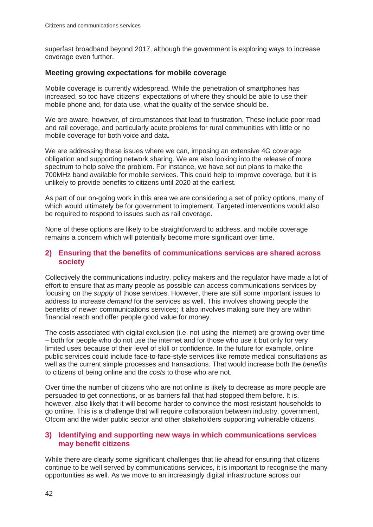superfast broadband beyond 2017, although the government is exploring ways to increase coverage even further.

#### **Meeting growing expectations for mobile coverage**

Mobile coverage is currently widespread. While the penetration of smartphones has increased, so too have citizens' expectations of where they should be able to use their mobile phone and, for data use, what the quality of the service should be.

We are aware, however, of circumstances that lead to frustration. These include poor road and rail coverage, and particularly acute problems for rural communities with little or no mobile coverage for both voice and data.

We are addressing these issues where we can, imposing an extensive 4G coverage obligation and supporting network sharing. We are also looking into the release of more spectrum to help solve the problem. For instance, we have set out plans to make the 700MHz band available for mobile services. This could help to improve coverage, but it is unlikely to provide benefits to citizens until 2020 at the earliest.

As part of our on-going work in this area we are considering a set of policy options, many of which would ultimately be for government to implement. Targeted interventions would also be required to respond to issues such as rail coverage.

None of these options are likely to be straightforward to address, and mobile coverage remains a concern which will potentially become more significant over time.

#### **2) Ensuring that the benefits of communications services are shared across society**

Collectively the communications industry, policy makers and the regulator have made a lot of effort to ensure that as many people as possible can access communications services by focusing on the *supply* of those services. However, there are still some important issues to address to increase *demand* for the services as well. This involves showing people the benefits of newer communications services; it also involves making sure they are within financial reach and offer people good value for money.

The costs associated with digital exclusion (i.e. not using the internet) are growing over time – both for people who do not use the internet and for those who use it but only for very limited uses because of their level of skill or confidence. In the future for example, online public services could include face-to-face-style services like remote medical consultations as well as the current simple processes and transactions. That would increase both the *benefits* to citizens of being online and the *costs* to those who are not.

Over time the number of citizens who are not online is likely to decrease as more people are persuaded to get connections, or as barriers fall that had stopped them before. It is, however, also likely that it will become harder to convince the most resistant households to go online. This is a challenge that will require collaboration between industry, government, Ofcom and the wider public sector and other stakeholders supporting vulnerable citizens.

#### **3) Identifying and supporting new ways in which communications services may benefit citizens**

While there are clearly some significant challenges that lie ahead for ensuring that citizens continue to be well served by communications services, it is important to recognise the many opportunities as well. As we move to an increasingly digital infrastructure across our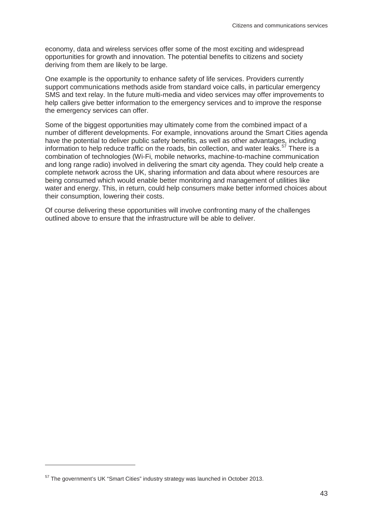economy, data and wireless services offer some of the most exciting and widespread opportunities for growth and innovation. The potential benefits to citizens and society deriving from them are likely to be large.

One example is the opportunity to enhance safety of life services. Providers currently support communications methods aside from standard voice calls, in particular emergency SMS and text relay. In the future multi-media and video services may offer improvements to help callers give better information to the emergency services and to improve the response the emergency services can offer.

Some of the biggest opportunities may ultimately come from the combined impact of a number of different developments. For example, innovations around the Smart Cities agenda have the potential to deliver public safety benefits, as well as other advantages, including information to help reduce traffic on the roads, bin collection, and water leaks.  $57$  There is a combination of technologies (Wi-Fi, mobile networks, machine-to-machine communication and long range radio) involved in delivering the smart city agenda. They could help create a complete network across the UK, sharing information and data about where resources are being consumed which would enable better monitoring and management of utilities like water and energy. This, in return, could help consumers make better informed choices about their consumption, lowering their costs.

Of course delivering these opportunities will involve confronting many of the challenges outlined above to ensure that the infrastructure will be able to deliver.

<span id="page-46-0"></span><sup>57</sup> The government's UK "Smart Cities" industry strategy was launched in October 2013.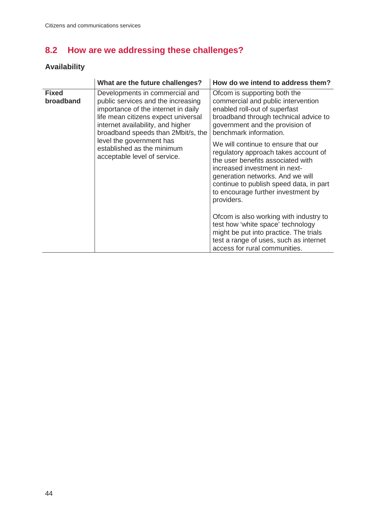# **8.2 How are we addressing these challenges?**

# **Availability**

|                           | What are the future challenges?                                                                                                                                                                                                                                                                                         | How do we intend to address them?                                                                                                                                                                                                                                                    |
|---------------------------|-------------------------------------------------------------------------------------------------------------------------------------------------------------------------------------------------------------------------------------------------------------------------------------------------------------------------|--------------------------------------------------------------------------------------------------------------------------------------------------------------------------------------------------------------------------------------------------------------------------------------|
| <b>Fixed</b><br>broadband | Developments in commercial and<br>public services and the increasing<br>importance of the internet in daily<br>life mean citizens expect universal<br>internet availability, and higher<br>broadband speeds than 2Mbit/s, the<br>level the government has<br>established as the minimum<br>acceptable level of service. | Ofcom is supporting both the<br>commercial and public intervention<br>enabled roll-out of superfast<br>broadband through technical advice to<br>government and the provision of<br>benchmark information.                                                                            |
|                           |                                                                                                                                                                                                                                                                                                                         | We will continue to ensure that our<br>regulatory approach takes account of<br>the user benefits associated with<br>increased investment in next-<br>generation networks. And we will<br>continue to publish speed data, in part<br>to encourage further investment by<br>providers. |
|                           |                                                                                                                                                                                                                                                                                                                         | Ofcom is also working with industry to<br>test how 'white space' technology<br>might be put into practice. The trials<br>test a range of uses, such as internet<br>access for rural communities.                                                                                     |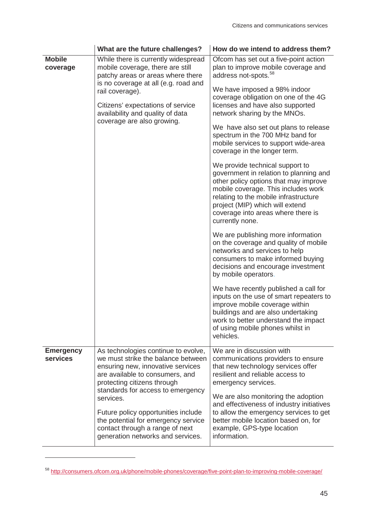|                              | What are the future challenges?                                                                                                                                                                                                                                                                                                                                                          | How do we intend to address them?                                                                                                                                                                                                                                                                                                                                                                                                                                                                                                                                                                                                                                                                                                                                                                                                                                                                                                                                                                                                                                                                                                                                                           |
|------------------------------|------------------------------------------------------------------------------------------------------------------------------------------------------------------------------------------------------------------------------------------------------------------------------------------------------------------------------------------------------------------------------------------|---------------------------------------------------------------------------------------------------------------------------------------------------------------------------------------------------------------------------------------------------------------------------------------------------------------------------------------------------------------------------------------------------------------------------------------------------------------------------------------------------------------------------------------------------------------------------------------------------------------------------------------------------------------------------------------------------------------------------------------------------------------------------------------------------------------------------------------------------------------------------------------------------------------------------------------------------------------------------------------------------------------------------------------------------------------------------------------------------------------------------------------------------------------------------------------------|
| <b>Mobile</b><br>coverage    | While there is currently widespread<br>mobile coverage, there are still<br>patchy areas or areas where there<br>is no coverage at all (e.g. road and<br>rail coverage).<br>Citizens' expectations of service<br>availability and quality of data<br>coverage are also growing.                                                                                                           | Ofcom has set out a five-point action<br>plan to improve mobile coverage and<br>address not-spots. <sup>58</sup><br>We have imposed a 98% indoor<br>coverage obligation on one of the 4G<br>licenses and have also supported<br>network sharing by the MNOs.<br>We have also set out plans to release<br>spectrum in the 700 MHz band for<br>mobile services to support wide-area<br>coverage in the longer term.<br>We provide technical support to<br>government in relation to planning and<br>other policy options that may improve<br>mobile coverage. This includes work<br>relating to the mobile infrastructure<br>project (MIP) which will extend<br>coverage into areas where there is<br>currently none.<br>We are publishing more information<br>on the coverage and quality of mobile<br>networks and services to help<br>consumers to make informed buying<br>decisions and encourage investment<br>by mobile operators.<br>We have recently published a call for<br>inputs on the use of smart repeaters to<br>improve mobile coverage within<br>buildings and are also undertaking<br>work to better understand the impact<br>of using mobile phones whilst in<br>vehicles. |
| <b>Emergency</b><br>services | As technologies continue to evolve,<br>we must strike the balance between<br>ensuring new, innovative services<br>are available to consumers, and<br>protecting citizens through<br>standards for access to emergency<br>services.<br>Future policy opportunities include<br>the potential for emergency service<br>contact through a range of next<br>generation networks and services. | We are in discussion with<br>communications providers to ensure<br>that new technology services offer<br>resilient and reliable access to<br>emergency services.<br>We are also monitoring the adoption<br>and effectiveness of industry initiatives<br>to allow the emergency services to get<br>better mobile location based on, for<br>example, GPS-type location<br>information.                                                                                                                                                                                                                                                                                                                                                                                                                                                                                                                                                                                                                                                                                                                                                                                                        |

<span id="page-48-0"></span><sup>58</sup> <http://consumers.ofcom.org.uk/phone/mobile-phones/coverage/five-point-plan-to-improving-mobile-coverage/>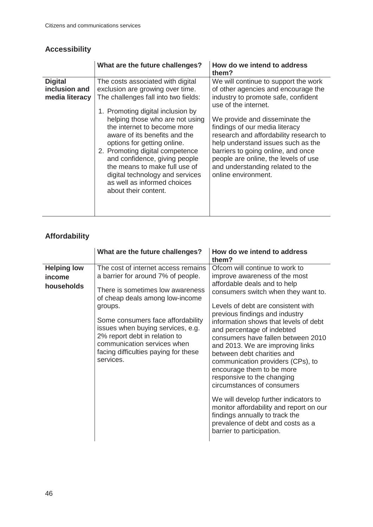## **Accessibility**

|                                                   | What are the future challenges?                                                                                                                                                                                                                                                                                                                                                                                                                                                     | How do we intend to address<br>them?                                                                                                                                                                                                                                                                                                                                                                                                    |
|---------------------------------------------------|-------------------------------------------------------------------------------------------------------------------------------------------------------------------------------------------------------------------------------------------------------------------------------------------------------------------------------------------------------------------------------------------------------------------------------------------------------------------------------------|-----------------------------------------------------------------------------------------------------------------------------------------------------------------------------------------------------------------------------------------------------------------------------------------------------------------------------------------------------------------------------------------------------------------------------------------|
| <b>Digital</b><br>inclusion and<br>media literacy | The costs associated with digital<br>exclusion are growing over time.<br>The challenges fall into two fields:<br>1. Promoting digital inclusion by<br>helping those who are not using<br>the internet to become more<br>aware of its benefits and the<br>options for getting online.<br>2. Promoting digital competence<br>and confidence, giving people<br>the means to make full use of<br>digital technology and services<br>as well as informed choices<br>about their content. | We will continue to support the work<br>of other agencies and encourage the<br>industry to promote safe, confident<br>use of the internet.<br>We provide and disseminate the<br>findings of our media literacy<br>research and affordability research to<br>help understand issues such as the<br>barriers to going online, and once<br>people are online, the levels of use<br>and understanding related to the<br>online environment. |

## **Affordability**

|                                            | What are the future challenges?                                                                                                                                                                                                                                                                                                                            | How do we intend to address<br>them?                                                                                                                                                                                                                                                                                                                                                                                                                                                                                                                                                                                                                                                                                |
|--------------------------------------------|------------------------------------------------------------------------------------------------------------------------------------------------------------------------------------------------------------------------------------------------------------------------------------------------------------------------------------------------------------|---------------------------------------------------------------------------------------------------------------------------------------------------------------------------------------------------------------------------------------------------------------------------------------------------------------------------------------------------------------------------------------------------------------------------------------------------------------------------------------------------------------------------------------------------------------------------------------------------------------------------------------------------------------------------------------------------------------------|
| <b>Helping low</b><br>income<br>households | The cost of internet access remains<br>a barrier for around 7% of people.<br>There is sometimes low awareness<br>of cheap deals among low-income<br>groups.<br>Some consumers face affordability<br>issues when buying services, e.g.<br>2% report debt in relation to<br>communication services when<br>facing difficulties paying for these<br>services. | Ofcom will continue to work to<br>improve awareness of the most<br>affordable deals and to help<br>consumers switch when they want to.<br>Levels of debt are consistent with<br>previous findings and industry<br>information shows that levels of debt<br>and percentage of indebted<br>consumers have fallen between 2010<br>and 2013. We are improving links<br>between debt charities and<br>communication providers (CPs), to<br>encourage them to be more<br>responsive to the changing<br>circumstances of consumers<br>We will develop further indicators to<br>monitor affordability and report on our<br>findings annually to track the<br>prevalence of debt and costs as a<br>barrier to participation. |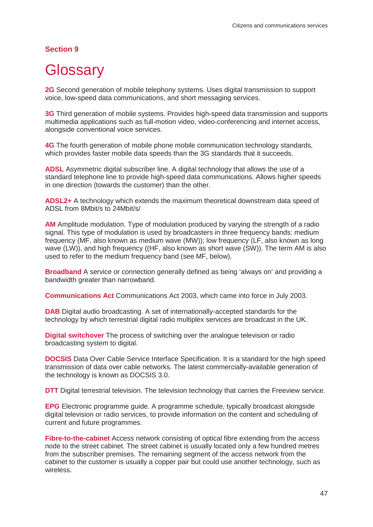#### **Section 9**

# <span id="page-50-0"></span>**Glossary**

**2G** Second generation of mobile telephony systems. Uses digital transmission to support voice, low-speed data communications, and short messaging services.

**3G** Third generation of mobile systems. Provides high-speed data transmission and supports multimedia applications such as full-motion video, video-conferencing and internet access, alongside conventional voice services.

**4G** The fourth generation of mobile phone mobile communication technology standards, which provides faster mobile data speeds than the 3G standards that it succeeds.

**ADSL** Asymmetric digital subscriber line. A digital technology that allows the use of a standard telephone line to provide high-speed data communications. Allows higher speeds in one direction (towards the customer) than the other.

**ADSL2+** A technology which extends the maximum theoretical downstream data speed of ADSL from 8Mbit/s to 24Mbit/s/

**AM** Amplitude modulation. Type of modulation produced by varying the strength of a radio signal. This type of modulation is used by broadcasters in three frequency bands: medium frequency (MF, also known as medium wave (MW)); low frequency (LF, also known as long wave (LW)), and high frequency ((HF, also known as short wave (SW)). The term AM is also used to refer to the medium frequency band (see MF, below).

**Broadband** A service or connection generally defined as being 'always on' and providing a bandwidth greater than narrowband.

**Communications Act** Communications Act 2003, which came into force in July 2003.

**DAB** Digital audio broadcasting. A set of internationally-accepted standards for the technology by which terrestrial digital radio multiplex services are broadcast in the UK.

**Digital switchover** The process of switching over the analogue television or radio broadcasting system to digital.

**DOCSIS** Data Over Cable Service Interface Specification. It is a standard for the high speed transmission of data over cable networks. The latest commercially-available generation of the technology is known as DOCSIS 3.0.

**DTT** Digital terrestrial television. The television technology that carries the Freeview service.

**EPG** Electronic programme guide. A programme schedule, typically broadcast alongside digital television or radio services, to provide information on the content and scheduling of current and future programmes.

**Fibre-to-the-cabinet** Access network consisting of optical fibre extending from the access node to the street cabinet. The street cabinet is usually located only a few hundred metres from the subscriber premises. The remaining segment of the access network from the cabinet to the customer is usually a copper pair but could use another technology, such as wireless.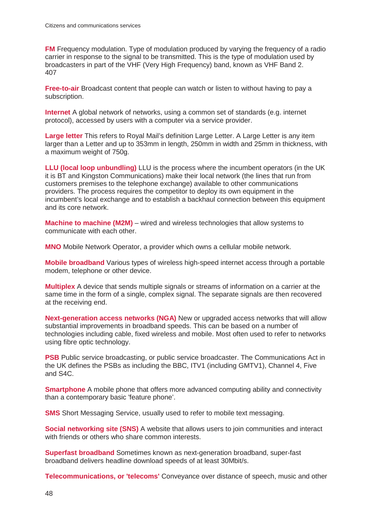**FM** Frequency modulation. Type of modulation produced by varying the frequency of a radio carrier in response to the signal to be transmitted. This is the type of modulation used by broadcasters in part of the VHF (Very High Frequency) band, known as VHF Band 2. 407

**Free-to-air** Broadcast content that people can watch or listen to without having to pay a subscription.

**Internet** A global network of networks, using a common set of standards (e.g. internet protocol), accessed by users with a computer via a service provider.

**Large letter** This refers to Royal Mail's definition Large Letter. A Large Letter is any item larger than a Letter and up to 353mm in length, 250mm in width and 25mm in thickness, with a maximum weight of 750g.

**LLU (local loop unbundling)** LLU is the process where the incumbent operators (in the UK it is BT and Kingston Communications) make their local network (the lines that run from customers premises to the telephone exchange) available to other communications providers. The process requires the competitor to deploy its own equipment in the incumbent's local exchange and to establish a backhaul connection between this equipment and its core network.

**Machine to machine (M2M)** – wired and wireless technologies that allow systems to communicate with each other.

**MNO** Mobile Network Operator, a provider which owns a cellular mobile network.

**Mobile broadband** Various types of wireless high-speed internet access through a portable modem, telephone or other device.

**Multiplex** A device that sends multiple signals or streams of information on a carrier at the same time in the form of a single, complex signal. The separate signals are then recovered at the receiving end.

**Next-generation access networks (NGA)** New or upgraded access networks that will allow substantial improvements in broadband speeds. This can be based on a number of technologies including cable, fixed wireless and mobile. Most often used to refer to networks using fibre optic technology.

**PSB** Public service broadcasting, or public service broadcaster. The Communications Act in the UK defines the PSBs as including the BBC, ITV1 (including GMTV1), Channel 4, Five and S4C.

**Smartphone** A mobile phone that offers more advanced computing ability and connectivity than a contemporary basic 'feature phone'.

**SMS** Short Messaging Service, usually used to refer to mobile text messaging.

**Social networking site (SNS)** A website that allows users to join communities and interact with friends or others who share common interests.

**Superfast broadband** Sometimes known as next-generation broadband, super-fast broadband delivers headline download speeds of at least 30Mbit/s.

**Telecommunications, or 'telecoms'** Conveyance over distance of speech, music and other